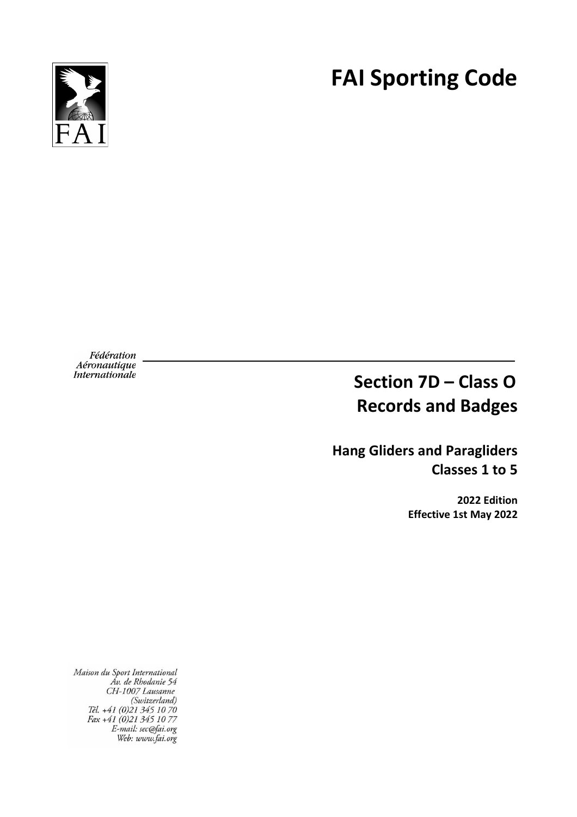

# **FAI Sporting Code**

Fédération *Aéronautique<br>Internationale* 

# **Section 7D – Class O Records and Badges**

**Hang Gliders and Paragliders Classes 1 to 5**

> **2022 Edition Effective 1st May 2022**

Maison du Sport International tison au sport International<br>Av. de Rhodanie 54<br>CH-1007 Lausanne<br>(Switzerland)<br>Tél. +41 (0)21 345 10 70<br>Fax +41 (0)21 345 10 77 E-mail: sec@fai.org<br>Web: www.fai.org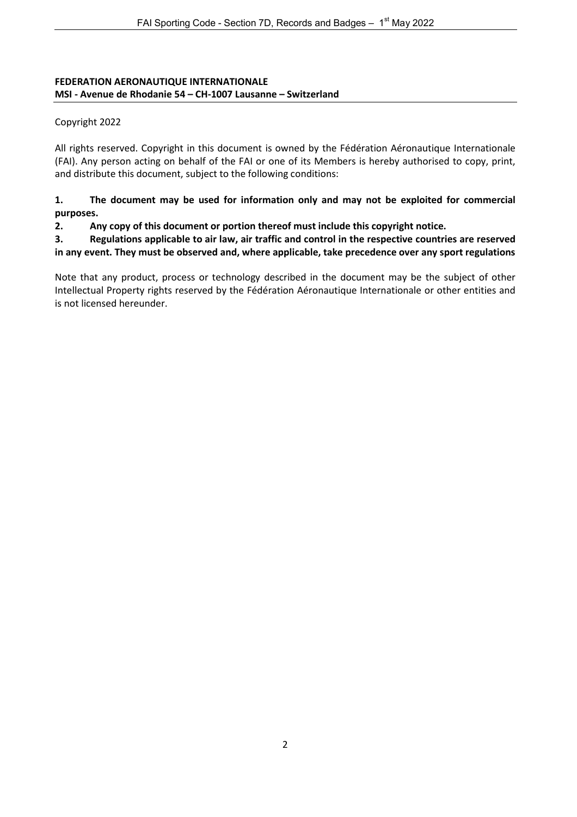#### **FEDERATION AERONAUTIQUE INTERNATIONALE MSI - Avenue de Rhodanie 54 – CH-1007 Lausanne – Switzerland**

#### Copyright 2022

All rights reserved. Copyright in this document is owned by the Fédération Aéronautique Internationale (FAI). Any person acting on behalf of the FAI or one of its Members is hereby authorised to copy, print, and distribute this document, subject to the following conditions:

#### **1. The document may be used for information only and may not be exploited for commercial purposes.**

#### **2. Any copy of this document or portion thereof must include this copyright notice.**

**3. Regulations applicable to air law, air traffic and control in the respective countries are reserved in any event. They must be observed and, where applicable, take precedence over any sport regulations**

Note that any product, process or technology described in the document may be the subject of other Intellectual Property rights reserved by the Fédération Aéronautique Internationale or other entities and is not licensed hereunder.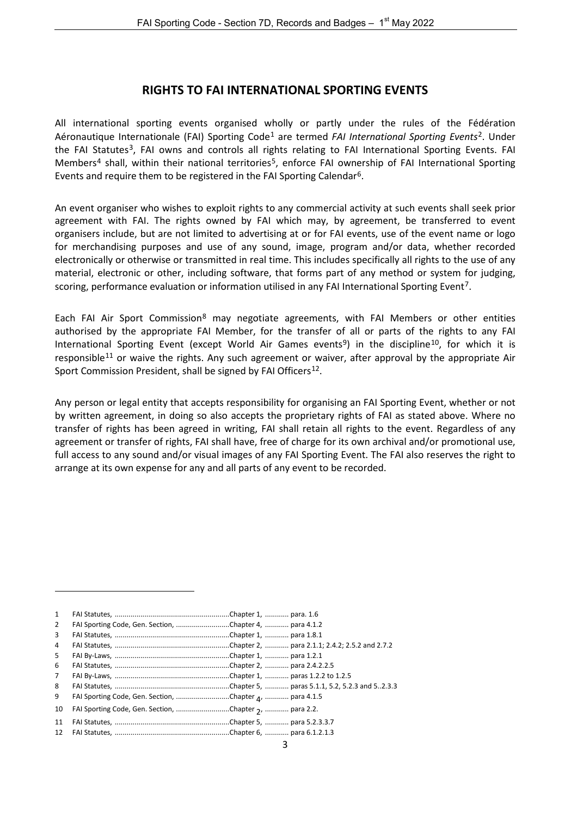#### **RIGHTS TO FAI INTERNATIONAL SPORTING EVENTS**

All international sporting events organised wholly or partly under the rules of the Fédération Aéronautique Internationale (FAI) Sporting Code[1](#page-2-0) are termed *FAI International Sporting Events*[2](#page-2-1). Under the FAI Statutes<sup>[3](#page-2-2)</sup>, FAI owns and controls all rights relating to FAI International Sporting Events. FAI Members<sup>[4](#page-2-3)</sup> shall, within their national territories<sup>[5](#page-2-4)</sup>, enforce FAI ownership of FAI International Sporting Events and require them to be registered in the FAI Sporting Calendar[6.](#page-2-5)

An event organiser who wishes to exploit rights to any commercial activity at such events shall seek prior agreement with FAI. The rights owned by FAI which may, by agreement, be transferred to event organisers include, but are not limited to advertising at or for FAI events, use of the event name or logo for merchandising purposes and use of any sound, image, program and/or data, whether recorded electronically or otherwise or transmitted in real time. This includes specifically all rights to the use of any material, electronic or other, including software, that forms part of any method or system for judging, scoring, performance evaluation or information utilised in any FAI International Sporting Event[7](#page-2-6).

Each FAI Air Sport Commission<sup>[8](#page-2-7)</sup> may negotiate agreements, with FAI Members or other entities authorised by the appropriate FAI Member, for the transfer of all or parts of the rights to any FAI International Sporting Event (except World Air Games events<sup>9</sup>) in the discipline<sup>10</sup>, for which it is responsible<sup>[11](#page-2-10)</sup> or waive the rights. Any such agreement or waiver, after approval by the appropriate Air Sport Commission President, shall be signed by FAI Officers<sup>[12](#page-2-11)</sup>.

Any person or legal entity that accepts responsibility for organising an FAI Sporting Event, whether or not by written agreement, in doing so also accepts the proprietary rights of FAI as stated above. Where no transfer of rights has been agreed in writing, FAI shall retain all rights to the event. Regardless of any agreement or transfer of rights, FAI shall have, free of charge for its own archival and/or promotional use, full access to any sound and/or visual images of any FAI Sporting Event. The FAI also reserves the right to arrange at its own expense for any and all parts of any event to be recorded.

<span id="page-2-11"></span><span id="page-2-10"></span><span id="page-2-9"></span><span id="page-2-8"></span><span id="page-2-7"></span><span id="page-2-6"></span><span id="page-2-5"></span><span id="page-2-4"></span><span id="page-2-3"></span><span id="page-2-2"></span><span id="page-2-1"></span><span id="page-2-0"></span>

| 1              |                                                         |  |
|----------------|---------------------------------------------------------|--|
| 2              | FAI Sporting Code, Gen. Section, Chapter 4,  para 4.1.2 |  |
| 3              |                                                         |  |
| 4              |                                                         |  |
| 5              |                                                         |  |
| 6              |                                                         |  |
| $\overline{7}$ |                                                         |  |
| 8              |                                                         |  |
| 9              | FAI Sporting Code, Gen. Section, Chapter 4,  para 4.1.5 |  |
| 10             | FAI Sporting Code, Gen. Section, Chapter 7,  para 2.2.  |  |
| 11             |                                                         |  |
| 12             |                                                         |  |

 $\overline{a}$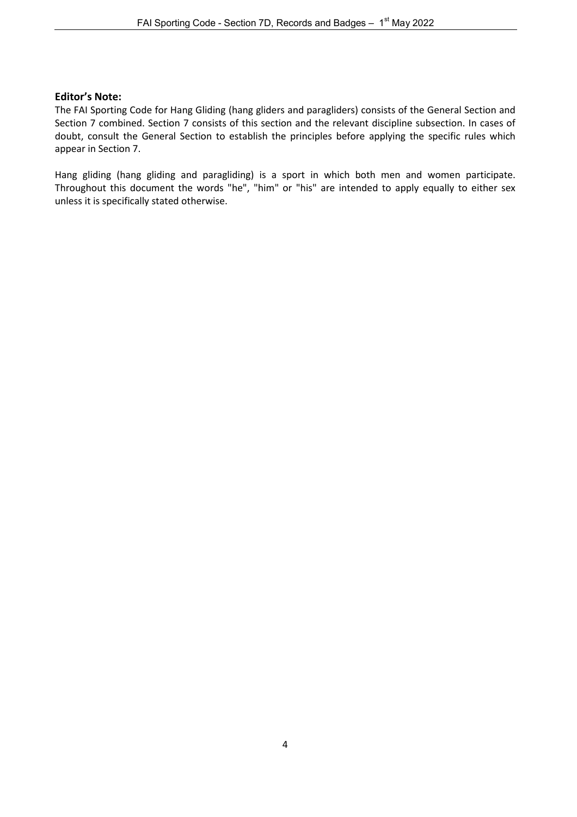#### **Editor's Note:**

The FAI Sporting Code for Hang Gliding (hang gliders and paragliders) consists of the General Section and Section 7 combined. Section 7 consists of this section and the relevant discipline subsection. In cases of doubt, consult the General Section to establish the principles before applying the specific rules which appear in Section 7.

Hang gliding (hang gliding and paragliding) is a sport in which both men and women participate. Throughout this document the words "he", "him" or "his" are intended to apply equally to either sex unless it is specifically stated otherwise.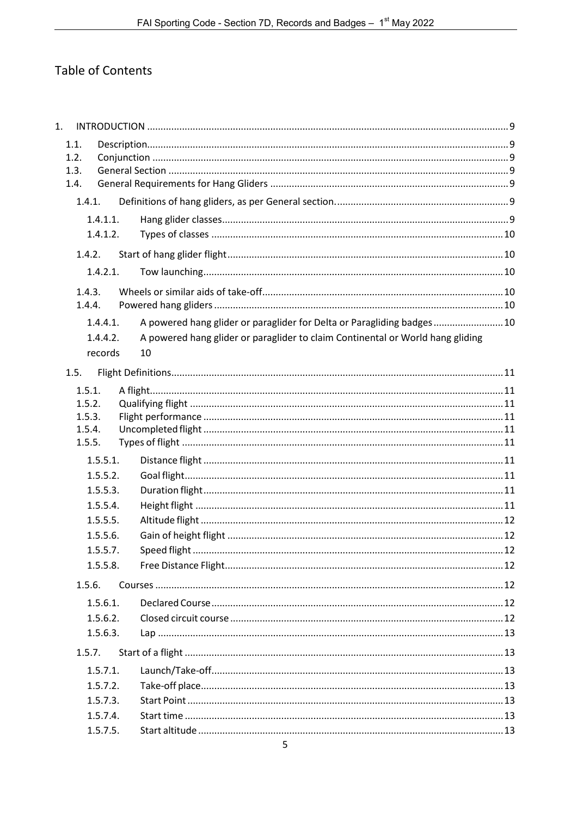# Table of Contents

| 1. |        |          |                                                                                |  |
|----|--------|----------|--------------------------------------------------------------------------------|--|
|    | 1.1.   |          |                                                                                |  |
|    | 1.2.   |          |                                                                                |  |
|    | 1.3.   |          |                                                                                |  |
|    | 1.4.   |          |                                                                                |  |
|    | 1.4.1. |          |                                                                                |  |
|    |        | 1.4.1.1. |                                                                                |  |
|    |        | 1.4.1.2. |                                                                                |  |
|    | 1.4.2. |          |                                                                                |  |
|    |        | 1.4.2.1. |                                                                                |  |
|    | 1.4.3. |          |                                                                                |  |
|    | 1.4.4. |          |                                                                                |  |
|    |        | 1.4.4.1. | A powered hang glider or paraglider for Delta or Paragliding badges 10         |  |
|    |        | 1.4.4.2. | A powered hang glider or paraglider to claim Continental or World hang gliding |  |
|    |        | records  | 10                                                                             |  |
|    | 1.5.   |          |                                                                                |  |
|    | 1.5.1. |          |                                                                                |  |
|    | 1.5.2. |          |                                                                                |  |
|    | 1.5.3. |          |                                                                                |  |
|    | 1.5.4. |          |                                                                                |  |
|    | 1.5.5. |          |                                                                                |  |
|    |        | 1.5.5.1. |                                                                                |  |
|    |        | 1.5.5.2. |                                                                                |  |
|    |        | 1.5.5.3. |                                                                                |  |
|    |        | 1.5.5.4. |                                                                                |  |
|    |        | 1.5.5.5. |                                                                                |  |
|    |        | 1.5.5.6. |                                                                                |  |
|    |        | 1.5.5.7. |                                                                                |  |
|    |        | 1.5.5.8. |                                                                                |  |
|    | 1.5.6. |          |                                                                                |  |
|    |        | 1.5.6.1. |                                                                                |  |
|    |        | 1.5.6.2. |                                                                                |  |
|    |        | 1.5.6.3. |                                                                                |  |
|    | 1.5.7. |          |                                                                                |  |
|    |        | 1.5.7.1. |                                                                                |  |
|    |        | 1.5.7.2. |                                                                                |  |
|    |        | 1.5.7.3. |                                                                                |  |
|    |        | 1.5.7.4. |                                                                                |  |
|    |        | 1.5.7.5. |                                                                                |  |
|    |        |          |                                                                                |  |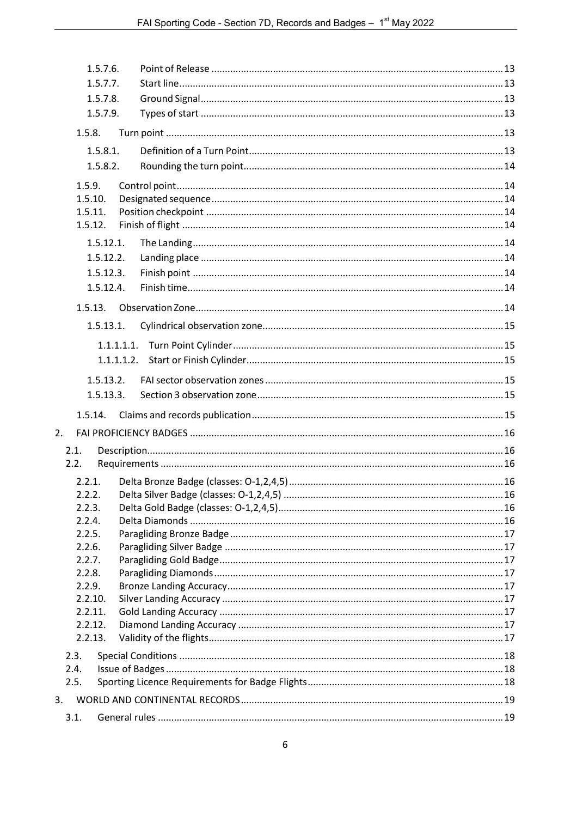|                    | 1.5.7.6.   |  |
|--------------------|------------|--|
|                    | 1.5.7.7.   |  |
|                    | 1.5.7.8.   |  |
|                    | 1.5.7.9.   |  |
| 1.5.8.             |            |  |
|                    | 1.5.8.1.   |  |
|                    | 1.5.8.2.   |  |
| 1.5.9.             |            |  |
| 1.5.10.            |            |  |
| 1.5.11.            |            |  |
| 1.5.12.            |            |  |
|                    | 1.5.12.1.  |  |
|                    | 1.5.12.2.  |  |
|                    | 1.5.12.3.  |  |
|                    | 1.5.12.4.  |  |
|                    | 1.5.13.    |  |
|                    | 1.5.13.1.  |  |
|                    | 1.1.1.1.1. |  |
|                    | 1.1.1.1.2. |  |
|                    | 1.5.13.2.  |  |
|                    | 1.5.13.3.  |  |
|                    | 1.5.14.    |  |
| 2.                 |            |  |
| 2.1.               |            |  |
| 2.2.               |            |  |
| 2.2.1.             |            |  |
| 2.2.2              |            |  |
| 2.2.3.             |            |  |
| 2.2.4.             |            |  |
| 2.2.5.             |            |  |
| 2.2.6.             |            |  |
| 2.2.7.             |            |  |
| 2.2.8.             |            |  |
| 2.2.9.             |            |  |
| 2.2.10.            |            |  |
| 2.2.11.<br>2.2.12. |            |  |
| 2.2.13.            |            |  |
| 2.3.               |            |  |
| 2.4.               |            |  |
| 2.5.               |            |  |
|                    |            |  |
| 3.                 |            |  |
| 3.1.               |            |  |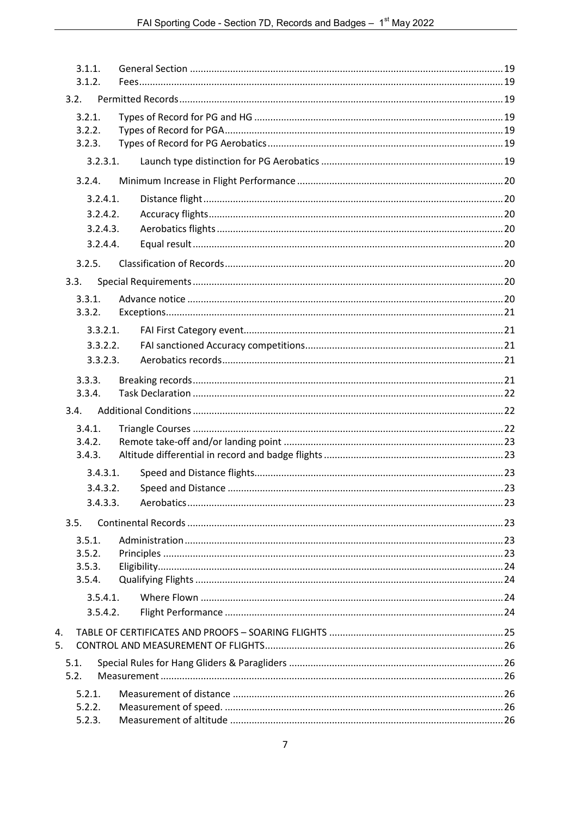|      | 3.1.1.<br>3.1.2.           |  |
|------|----------------------------|--|
| 3.2. |                            |  |
|      | 3.2.1.<br>3.2.2.<br>3.2.3. |  |
|      | 3.2.3.1.                   |  |
|      | 3.2.4.                     |  |
|      | 3.2.4.1.                   |  |
|      | 3.2.4.2.                   |  |
|      | 3.2.4.3.                   |  |
|      | 3.2.4.4.                   |  |
|      | 3.2.5.                     |  |
| 3.3. |                            |  |
|      | 3.3.1.                     |  |
|      | 3.3.2.                     |  |
|      | 3.3.2.1.                   |  |
|      | 3.3.2.2.                   |  |
|      | 3.3.2.3.                   |  |
|      | 3.3.3.                     |  |
|      | 3.3.4.                     |  |
| 3.4. |                            |  |
|      | 3.4.1.                     |  |
|      | 3.4.2.                     |  |
|      | 3.4.3.                     |  |
|      | 3.4.3.1.                   |  |
|      | 3.4.3.2.                   |  |
|      | 3.4.3.3.                   |  |
| 3.5. |                            |  |
|      | 3.5.1.                     |  |
|      | 3.5.2.<br>3.5.3.           |  |
|      | 3.5.4.                     |  |
|      | 3.5.4.1.                   |  |
|      | 3.5.4.2.                   |  |
| 4.   |                            |  |
| 5.   |                            |  |
| 5.1. |                            |  |
| 5.2. |                            |  |
|      | 5.2.1.                     |  |
|      | 5.2.2.                     |  |
|      | 5.2.3.                     |  |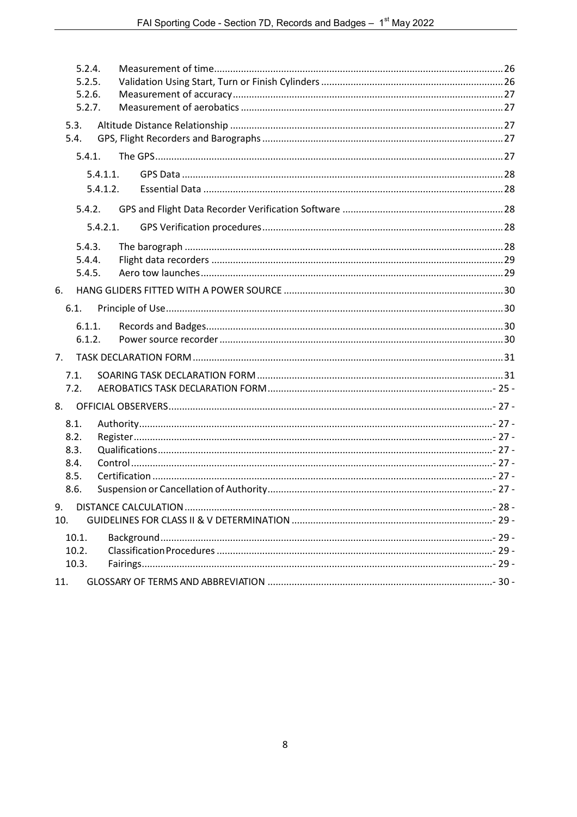| 5.2.4.<br>5.2.5.<br>5.2.6.<br>5.2.7. |  |
|--------------------------------------|--|
| 5.3.<br>5.4.                         |  |
| 5.4.1.                               |  |
| 5.4.1.1.                             |  |
| 5.4.1.2.                             |  |
| 5.4.2.                               |  |
| 5.4.2.1.                             |  |
| 5.4.3.                               |  |
| 5.4.4.                               |  |
| 5.4.5.                               |  |
| 6.                                   |  |
| 6.1.                                 |  |
| 6.1.1.                               |  |
| 6.1.2.                               |  |
| 7.                                   |  |
| 7.1.                                 |  |
| 7.2.                                 |  |
| 8.                                   |  |
| 8.1.                                 |  |
| 8.2.                                 |  |
| 8.3.                                 |  |
| 8.4.<br>8.5.                         |  |
| 8.6.                                 |  |
| 9.                                   |  |
| 10.                                  |  |
| 10.1.                                |  |
| 10.2.                                |  |
| 10.3.                                |  |
| 11.                                  |  |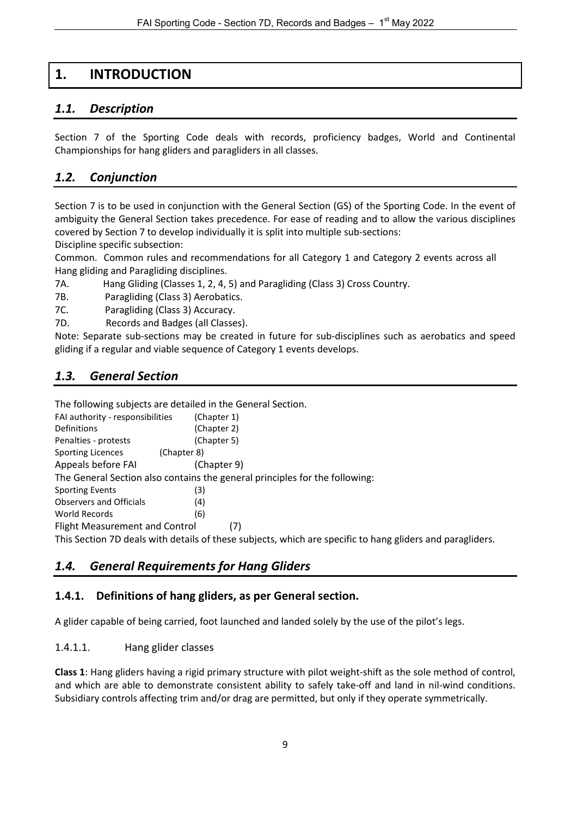# **1. INTRODUCTION**

# <span id="page-8-1"></span><span id="page-8-0"></span>*1.1. Description*

Section 7 of the Sporting Code deals with records, proficiency badges, World and Continental Championships for hang gliders and paragliders in all classes.

# <span id="page-8-2"></span>*1.2. Conjunction*

Section 7 is to be used in conjunction with the General Section (GS) of the Sporting Code. In the event of ambiguity the General Section takes precedence. For ease of reading and to allow the various disciplines covered by Section 7 to develop individually it is split into multiple sub-sections:

Discipline specific subsection:

Common. Common rules and recommendations for all Category 1 and Category 2 events across all Hang gliding and Paragliding disciplines.

7A. Hang Gliding (Classes 1, 2, 4, 5) and Paragliding (Class 3) Cross Country.

- 7B. Paragliding (Class 3) Aerobatics.
- 7C. Paragliding (Class 3) Accuracy.
- 7D. Records and Badges (all Classes).

Note: Separate sub-sections may be created in future for sub-disciplines such as aerobatics and speed gliding if a regular and viable sequence of Category 1 events develops.

# <span id="page-8-3"></span>*1.3. General Section*

The following subjects are detailed in the General Section.

| FAI authority - responsibilities | (Chapter 1)                                                                                               |
|----------------------------------|-----------------------------------------------------------------------------------------------------------|
| Definitions                      | (Chapter 2)                                                                                               |
| Penalties - protests             | (Chapter 5)                                                                                               |
| Sporting Licences<br>(Chapter 8) |                                                                                                           |
| Appeals before FAI               | (Chapter 9)                                                                                               |
|                                  | The General Section also contains the general principles for the following:                               |
| <b>Sporting Events</b>           | (3)                                                                                                       |
| Observers and Officials          | (4)                                                                                                       |
| World Records                    | (6)                                                                                                       |
| Flight Measurement and Control   |                                                                                                           |
|                                  | This Section 7D deals with details of these subjects, which are specific to hang gliders and paragliders. |

# <span id="page-8-4"></span>*1.4. General Requirements for Hang Gliders*

#### <span id="page-8-5"></span>**1.4.1. Definitions of hang gliders, as per General section.**

<span id="page-8-6"></span>A glider capable of being carried, foot launched and landed solely by the use of the pilot's legs.

#### 1.4.1.1. Hang glider classes

**Class 1**: Hang gliders having a rigid primary structure with pilot weight-shift as the sole method of control, and which are able to demonstrate consistent ability to safely take-off and land in nil-wind conditions. Subsidiary controls affecting trim and/or drag are permitted, but only if they operate symmetrically.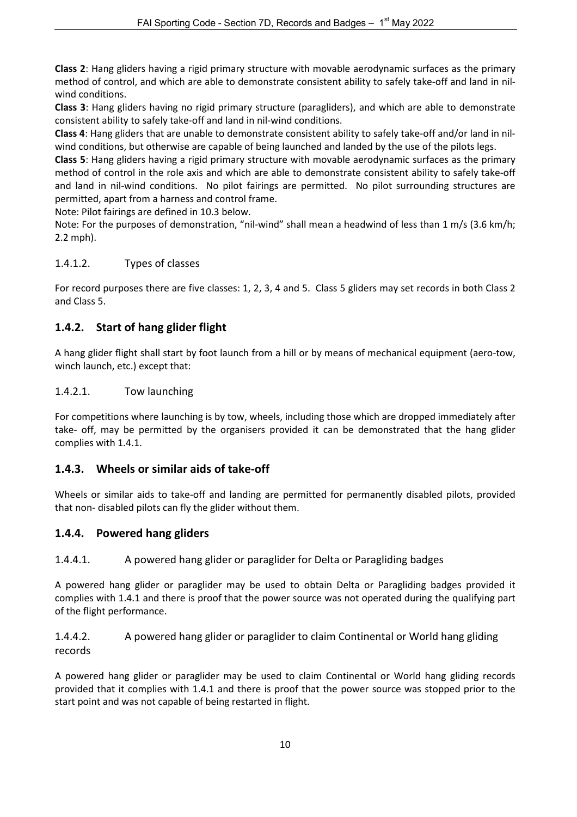**Class 2**: Hang gliders having a rigid primary structure with movable aerodynamic surfaces as the primary method of control, and which are able to demonstrate consistent ability to safely take-off and land in nilwind conditions.

**Class 3**: Hang gliders having no rigid primary structure (paragliders), and which are able to demonstrate consistent ability to safely take-off and land in nil-wind conditions.

**Class 4**: Hang gliders that are unable to demonstrate consistent ability to safely take-off and/or land in nilwind conditions, but otherwise are capable of being launched and landed by the use of the pilots legs.

**Class 5**: Hang gliders having a rigid primary structure with movable aerodynamic surfaces as the primary method of control in the role axis and which are able to demonstrate consistent ability to safely take-off and land in nil-wind conditions. No pilot fairings are permitted. No pilot surrounding structures are permitted, apart from a harness and control frame.

Note: Pilot fairings are defined in 10.3 below.

Note: For the purposes of demonstration, "nil-wind" shall mean a headwind of less than 1 m/s (3.6 km/h; 2.2 mph).

### <span id="page-9-0"></span>1.4.1.2. Types of classes

For record purposes there are five classes: 1, 2, 3, 4 and 5. Class 5 gliders may set records in both Class 2 and Class 5.

# <span id="page-9-1"></span>**1.4.2. Start of hang glider flight**

A hang glider flight shall start by foot launch from a hill or by means of mechanical equipment (aero-tow, winch launch, etc.) except that:

#### <span id="page-9-2"></span>1.4.2.1. Tow launching

For competitions where launching is by tow, wheels, including those which are dropped immediately after take- off, may be permitted by the organisers provided it can be demonstrated that the hang glider complies with [1.4.1.](#page-8-5)

# <span id="page-9-3"></span>**1.4.3. Wheels or similar aids of take-off**

Wheels or similar aids to take-off and landing are permitted for permanently disabled pilots, provided that non- disabled pilots can fly the glider without them.

# <span id="page-9-4"></span>**1.4.4. Powered hang gliders**

<span id="page-9-5"></span>1.4.4.1. A powered hang glider or paraglider for Delta or Paragliding badges

A powered hang glider or paraglider may be used to obtain Delta or Paragliding badges provided it complies with [1.4.1](#page-8-5) and there is proof that the power source was not operated during the qualifying part of the flight performance.

<span id="page-9-6"></span>1.4.4.2. A powered hang glider or paraglider to claim Continental or World hang gliding records

A powered hang glider or paraglider may be used to claim Continental or World hang gliding records provided that it complies with 1.4.1 and there is proof that the power source was stopped prior to the start point and was not capable of being restarted in flight.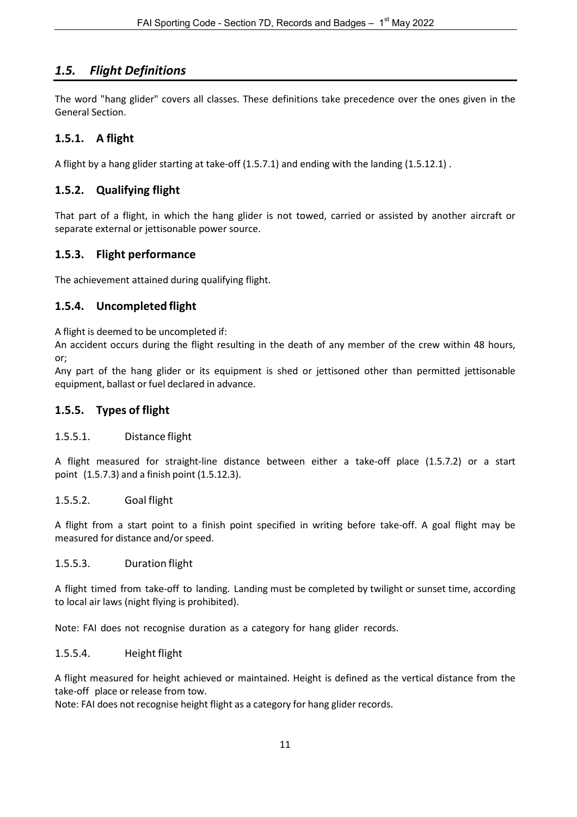# <span id="page-10-0"></span>*1.5. Flight Definitions*

The word "hang glider" covers all classes. These definitions take precedence over the ones given in the General Section.

# <span id="page-10-1"></span>**1.5.1. A flight**

A flight by a hang glider starting at take-off (1.5.7.1) and ending with the landing (1.5.12.1) .

# <span id="page-10-2"></span>**1.5.2. Qualifying flight**

That part of a flight, in which the hang glider is not towed, carried or assisted by another aircraft or separate external or jettisonable power source.

# <span id="page-10-3"></span>**1.5.3. Flight performance**

The achievement attained during qualifying flight.

### <span id="page-10-4"></span>**1.5.4. Uncompleted flight**

A flight is deemed to be uncompleted if:

An accident occurs during the flight resulting in the death of any member of the crew within 48 hours, or;

Any part of the hang glider or its equipment is shed or jettisoned other than permitted jettisonable equipment, ballast or fuel declared in advance.

### <span id="page-10-5"></span>**1.5.5. Types of flight**

#### <span id="page-10-6"></span>1.5.5.1. Distance flight

A flight measured for straight-line distance between either a take-off place (1.5.7.2) or a start point (1.5.7.3) and a finish point (1.5.12.3).

#### <span id="page-10-7"></span>1.5.5.2. Goal flight

A flight from a start point to a finish point specified in writing before take-off. A goal flight may be measured for distance and/or speed.

#### <span id="page-10-8"></span>1.5.5.3. Duration flight

A flight timed from take-off to landing. Landing must be completed by twilight or sunset time, according to local air laws (night flying is prohibited).

<span id="page-10-9"></span>Note: FAI does not recognise duration as a category for hang glider records.

#### 1.5.5.4. Height flight

A flight measured for height achieved or maintained. Height is defined as the vertical distance from the take-off place or release from tow.

Note: FAI does not recognise height flight as a category for hang glider records.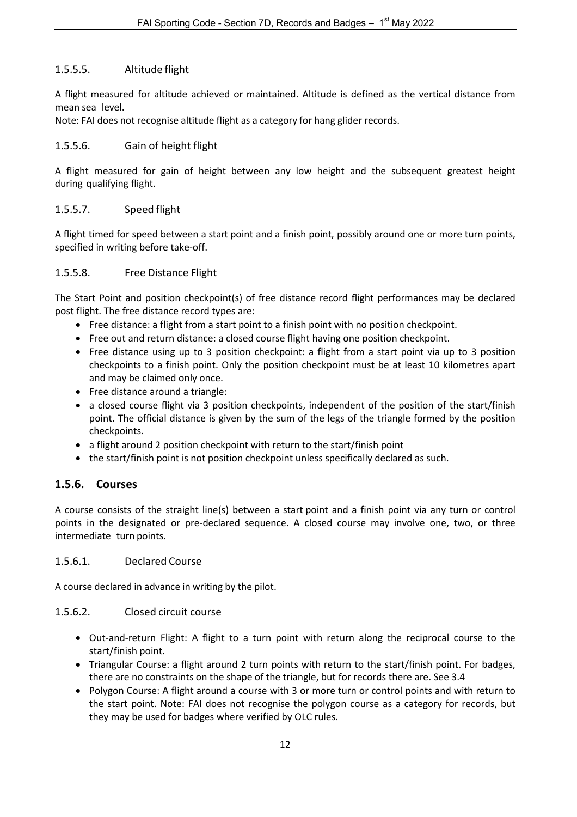#### <span id="page-11-0"></span>1.5.5.5. Altitude flight

A flight measured for altitude achieved or maintained. Altitude is defined as the vertical distance from mean sea level.

Note: FAI does not recognise altitude flight as a category for hang glider records.

#### <span id="page-11-1"></span>1.5.5.6. Gain of height flight

A flight measured for gain of height between any low height and the subsequent greatest height during qualifying flight.

#### <span id="page-11-2"></span>1.5.5.7. Speed flight

A flight timed for speed between a start point and a finish point, possibly around one or more turn points, specified in writing before take-off.

#### <span id="page-11-3"></span>1.5.5.8. Free Distance Flight

The Start Point and position checkpoint(s) of free distance record flight performances may be declared post flight. The free distance record types are:

- Free distance: a flight from a start point to a finish point with no position checkpoint.
- Free out and return distance: a closed course flight having one position checkpoint.
- Free distance using up to 3 position checkpoint: a flight from a start point via up to 3 position checkpoints to a finish point. Only the position checkpoint must be at least 10 kilometres apart and may be claimed only once.
- Free distance around a triangle:
- a closed course flight via 3 position checkpoints, independent of the position of the start/finish point. The official distance is given by the sum of the legs of the triangle formed by the position checkpoints.
- a flight around 2 position checkpoint with return to the start/finish point
- the start/finish point is not position checkpoint unless specifically declared as such.

#### <span id="page-11-4"></span>**1.5.6. Courses**

A course consists of the straight line(s) between a start point and a finish point via any turn or control points in the designated or pre-declared sequence. A closed course may involve one, two, or three intermediate turn points.

#### <span id="page-11-5"></span>1.5.6.1. Declared Course

<span id="page-11-6"></span>A course declared in advance in writing by the pilot.

#### 1.5.6.2. Closed circuit course

- Out-and-return Flight: A flight to a turn point with return along the reciprocal course to the start/finish point.
- Triangular Course: a flight around 2 turn points with return to the start/finish point. For badges, there are no constraints on the shape of the triangle, but for records there are. See 3.4
- Polygon Course: A flight around a course with 3 or more turn or control points and with return to the start point. Note: FAI does not recognise the polygon course as a category for records, but they may be used for badges where verified by OLC rules.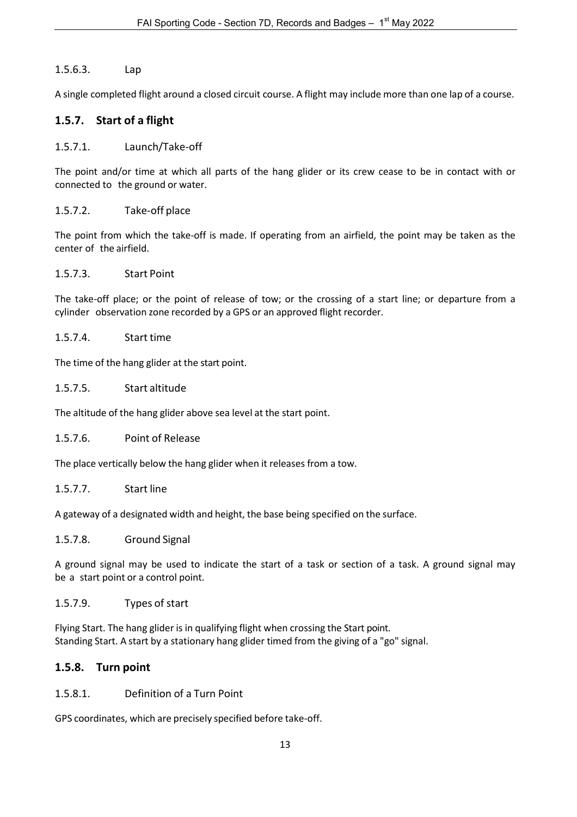#### <span id="page-12-0"></span>1.5.6.3. Lap

A single completed flight around a closed circuit course. A flight may include more than one lap of a course.

### <span id="page-12-1"></span>**1.5.7. Start of a flight**

#### <span id="page-12-2"></span>1.5.7.1. Launch/Take-off

The point and/or time at which all parts of the hang glider or its crew cease to be in contact with or connected to the ground or water.

#### <span id="page-12-3"></span>1.5.7.2. Take-off place

The point from which the take-off is made. If operating from an airfield, the point may be taken as the center of the airfield.

#### <span id="page-12-4"></span>1.5.7.3. Start Point

The take-off place; or the point of release of tow; or the crossing of a start line; or departure from a cylinder observation zone recorded by a GPS or an approved flight recorder.

#### <span id="page-12-5"></span>1.5.7.4. Start time

<span id="page-12-6"></span>The time of the hang glider at the start point.

#### 1.5.7.5. Start altitude

<span id="page-12-7"></span>The altitude of the hang glider above sea level at the start point.

#### 1.5.7.6. Point of Release

<span id="page-12-8"></span>The place vertically below the hang glider when it releases from a tow.

#### 1.5.7.7. Start line

A gateway of a designated width and height, the base being specified on the surface.

#### <span id="page-12-9"></span>1.5.7.8. Ground Signal

A ground signal may be used to indicate the start of a task or section of a task. A ground signal may be a start point or a control point.

#### <span id="page-12-10"></span>1.5.7.9. Types of start

Flying Start. The hang glider is in qualifying flight when crossing the Start point. Standing Start. A start by a stationary hang glider timed from the giving of a "go" signal.

#### <span id="page-12-11"></span>**1.5.8. Turn point**

#### <span id="page-12-12"></span>1.5.8.1. Definition of a Turn Point

GPS coordinates, which are precisely specified before take-off.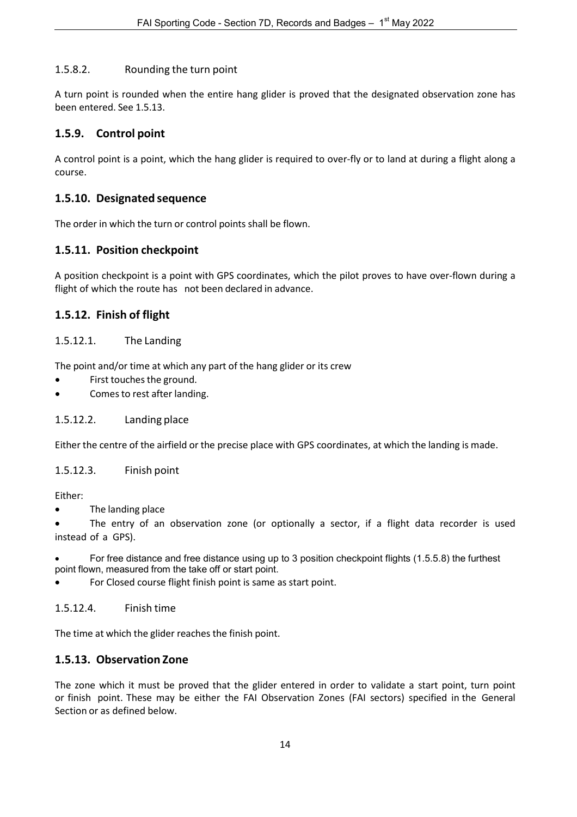#### <span id="page-13-0"></span>1.5.8.2. Rounding the turn point

A turn point is rounded when the entire hang glider is proved that the designated observation zone has been entered. See 1.5.13.

#### <span id="page-13-1"></span>**1.5.9. Control point**

A control point is a point, which the hang glider is required to over-fly or to land at during a flight along a course.

#### <span id="page-13-2"></span>**1.5.10. Designated sequence**

<span id="page-13-3"></span>The order in which the turn or control points shall be flown.

#### **1.5.11. Position checkpoint**

A position checkpoint is a point with GPS coordinates, which the pilot proves to have over-flown during a flight of which the route has not been declared in advance.

#### <span id="page-13-4"></span>**1.5.12. Finish of flight**

#### <span id="page-13-5"></span>1.5.12.1. The Landing

The point and/or time at which any part of the hang glider or its crew

- First touches the ground.
- Comes to rest after landing.

#### <span id="page-13-6"></span>1.5.12.2. Landing place

<span id="page-13-7"></span>Either the centre of the airfield or the precise place with GPS coordinates, at which the landing is made.

#### 1.5.12.3. Finish point

Either:

• The landing place

The entry of an observation zone (or optionally a sector, if a flight data recorder is used instead of a GPS).

• For free distance and free distance using up to 3 position checkpoint flights (1.5.5.8) the furthest point flown, measured from the take off or start point.

For Closed course flight finish point is same as start point.

<span id="page-13-8"></span>1.5.12.4. Finish time

<span id="page-13-9"></span>The time at which the glider reaches the finish point.

#### **1.5.13. Observation Zone**

The zone which it must be proved that the glider entered in order to validate a start point, turn point or finish point. These may be either the FAI Observation Zones (FAI sectors) specified in the General Section or as defined below.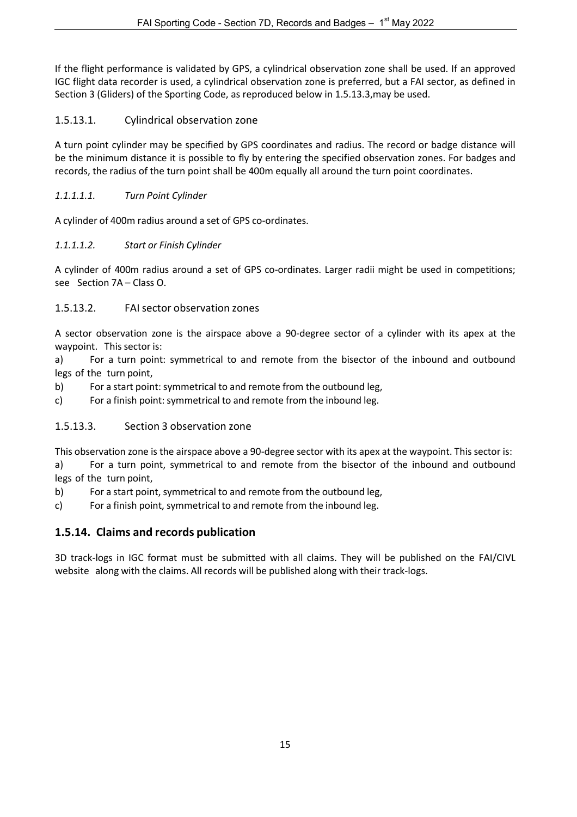If the flight performance is validated by GPS, a cylindrical observation zone shall be used. If an approved IGC flight data recorder is used, a cylindrical observation zone is preferred, but a FAI sector, as defined in Section 3 (Gliders) of the Sporting Code, as reproduced below in 1.5.13.3,may be used.

### <span id="page-14-0"></span>1.5.13.1. Cylindrical observation zone

A turn point cylinder may be specified by GPS coordinates and radius. The record or badge distance will be the minimum distance it is possible to fly by entering the specified observation zones. For badges and records, the radius of the turn point shall be 400m equally all around the turn point coordinates.

#### <span id="page-14-1"></span>*1.1.1.1.1. Turn Point Cylinder*

A cylinder of 400m radius around a set of GPS co-ordinates.

### <span id="page-14-2"></span>*1.1.1.1.2. Start or Finish Cylinder*

A cylinder of 400m radius around a set of GPS co-ordinates. Larger radii might be used in competitions; see Section 7A – Class O.

# <span id="page-14-3"></span>1.5.13.2. FAIsector observation zones

A sector observation zone is the airspace above a 90-degree sector of a cylinder with its apex at the waypoint. This sector is:

a) For a turn point: symmetrical to and remote from the bisector of the inbound and outbound legs of the turn point,

b) For a start point: symmetrical to and remote from the outbound leg,

c) For a finish point: symmetrical to and remote from the inbound leg.

# <span id="page-14-4"></span>1.5.13.3. Section 3 observation zone

This observation zone is the airspace above a 90-degree sector with its apex at the waypoint. This sector is:

a) For a turn point, symmetrical to and remote from the bisector of the inbound and outbound legs of the turn point,

- b) For a start point, symmetrical to and remote from the outbound leg,
- c) For a finish point, symmetrical to and remote from the inbound leg.

# <span id="page-14-5"></span>**1.5.14. Claims and records publication**

3D track-logs in IGC format must be submitted with all claims. They will be published on the FAI/CIVL website along with the claims. All records will be published along with their track-logs.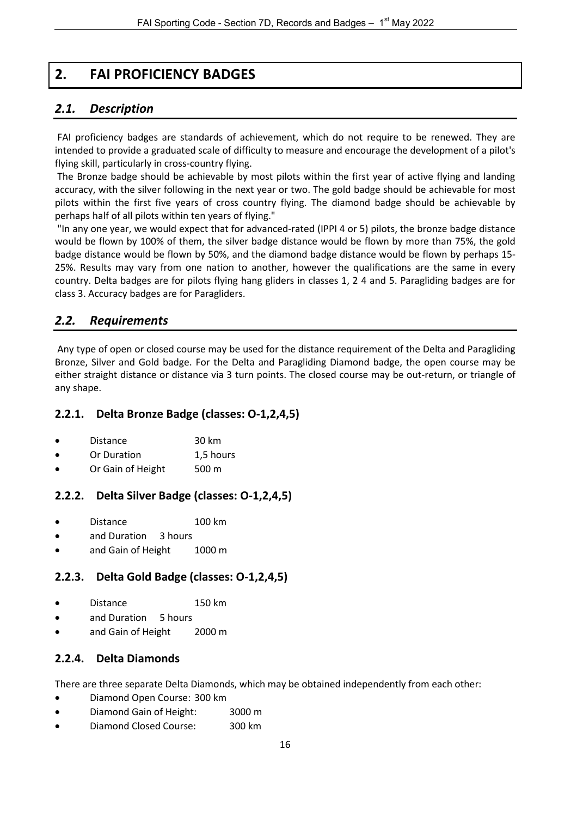# **2. FAI PROFICIENCY BADGES**

# <span id="page-15-1"></span><span id="page-15-0"></span>*2.1. Description*

FAI proficiency badges are standards of achievement, which do not require to be renewed. They are intended to provide a graduated scale of difficulty to measure and encourage the development of a pilot's flying skill, particularly in cross-country flying.

The Bronze badge should be achievable by most pilots within the first year of active flying and landing accuracy, with the silver following in the next year or two. The gold badge should be achievable for most pilots within the first five years of cross country flying. The diamond badge should be achievable by perhaps half of all pilots within ten years of flying."

"In any one year, we would expect that for advanced-rated (IPPI 4 or 5) pilots, the bronze badge distance would be flown by 100% of them, the silver badge distance would be flown by more than 75%, the gold badge distance would be flown by 50%, and the diamond badge distance would be flown by perhaps 15- 25%. Results may vary from one nation to another, however the qualifications are the same in every country. Delta badges are for pilots flying hang gliders in classes 1, 2 4 and 5. Paragliding badges are for class 3. Accuracy badges are for Paragliders.

# <span id="page-15-2"></span>*2.2. Requirements*

Any type of open or closed course may be used for the distance requirement of the Delta and Paragliding Bronze, Silver and Gold badge. For the Delta and Paragliding Diamond badge, the open course may be either straight distance or distance via 3 turn points. The closed course may be out-return, or triangle of any shape.

#### <span id="page-15-3"></span>**2.2.1. Delta Bronze Badge (classes: O-1,2,4,5)**

| <b>Distance</b> | 30 km |
|-----------------|-------|
|-----------------|-------|

- Or Duration 1,5 hours
- Or Gain of Height 500 m

#### <span id="page-15-4"></span>**2.2.2. Delta Silver Badge (classes: O-1,2,4,5)**

- Distance 100 km
- and Duration 3 hours
- and Gain of Height 1000 m

#### <span id="page-15-5"></span>**2.2.3. Delta Gold Badge (classes: O-1,2,4,5)**

- Distance 150 km
- and Duration 5 hours
- and Gain of Height 2000 m

#### <span id="page-15-6"></span>**2.2.4. Delta Diamonds**

There are three separate Delta Diamonds, which may be obtained independently from each other:

- Diamond Open Course: 300 km
- Diamond Gain of Height: 3000 m
- Diamond Closed Course: 300 km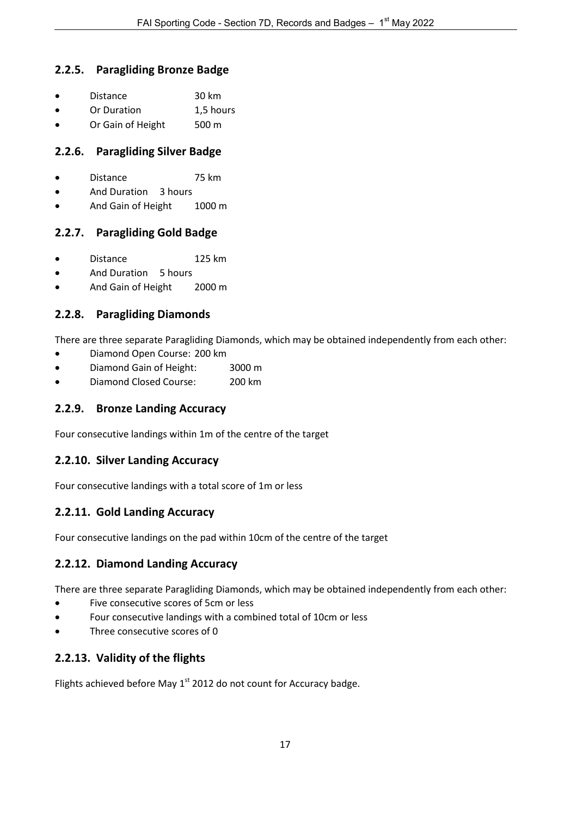### <span id="page-16-0"></span>**2.2.5. Paragliding Bronze Badge**

| <b>Distance</b> | 30 km |
|-----------------|-------|
|                 |       |

- Or Duration 1,5 hours
- Or Gain of Height 500 m

# <span id="page-16-1"></span>**2.2.6. Paragliding Silver Badge**

- Distance 75 km
- And Duration 3 hours
- And Gain of Height 1000 m

# <span id="page-16-2"></span>**2.2.7. Paragliding Gold Badge**

- Distance 125 km
- And Duration 5 hours
- And Gain of Height 2000 m

# <span id="page-16-3"></span>**2.2.8. Paragliding Diamonds**

There are three separate Paragliding Diamonds, which may be obtained independently from each other:

- Diamond Open Course: 200 km
- Diamond Gain of Height: 3000 m
- Diamond Closed Course: 200 km

### <span id="page-16-4"></span>**2.2.9. Bronze Landing Accuracy**

<span id="page-16-5"></span>Four consecutive landings within 1m of the centre of the target

#### **2.2.10. Silver Landing Accuracy**

<span id="page-16-6"></span>Four consecutive landings with a total score of 1m or less

#### **2.2.11. Gold Landing Accuracy**

<span id="page-16-7"></span>Four consecutive landings on the pad within 10cm of the centre of the target

#### **2.2.12. Diamond Landing Accuracy**

There are three separate Paragliding Diamonds, which may be obtained independently from each other:

- Five consecutive scores of 5cm or less
- Four consecutive landings with a combined total of 10cm or less
- Three consecutive scores of 0

# <span id="page-16-8"></span>**2.2.13. Validity of the flights**

Flights achieved before May  $1<sup>st</sup>$  2012 do not count for Accuracy badge.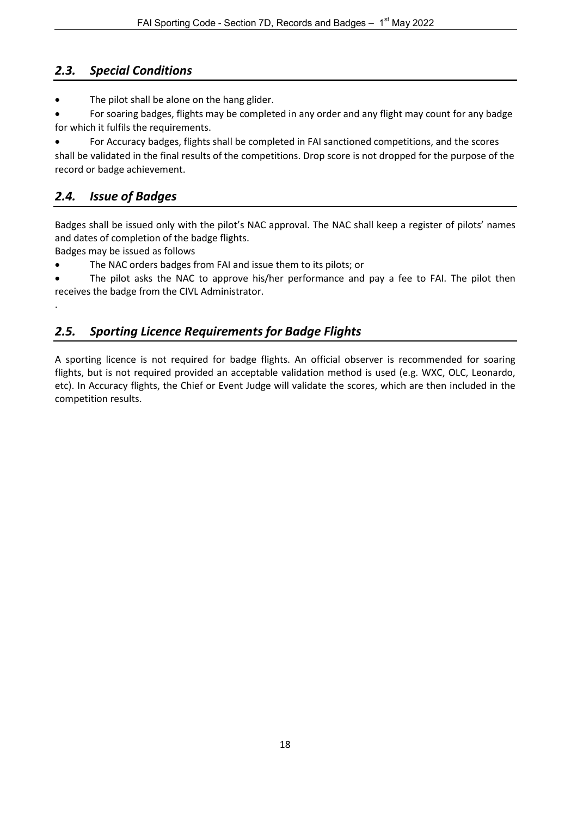# <span id="page-17-0"></span>*2.3. Special Conditions*

- The pilot shall be alone on the hang glider.
- For soaring badges, flights may be completed in any order and any flight may count for any badge for which it fulfils the requirements.

• For Accuracy badges, flights shall be completed in FAI sanctioned competitions, and the scores shall be validated in the final results of the competitions. Drop score is not dropped for the purpose of the record or badge achievement.

# <span id="page-17-1"></span>*2.4. Issue of Badges*

Badges shall be issued only with the pilot's NAC approval. The NAC shall keep a register of pilots' names and dates of completion of the badge flights.

Badges may be issued as follows

<span id="page-17-2"></span>.

• The NAC orders badges from FAI and issue them to its pilots; or

• The pilot asks the NAC to approve his/her performance and pay a fee to FAI. The pilot then receives the badge from the CIVL Administrator.

# *2.5. Sporting Licence Requirements for Badge Flights*

A sporting licence is not required for badge flights. An official observer is recommended for soaring flights, but is not required provided an acceptable validation method is used (e.g. WXC, OLC, Leonardo, etc). In Accuracy flights, the Chief or Event Judge will validate the scores, which are then included in the competition results.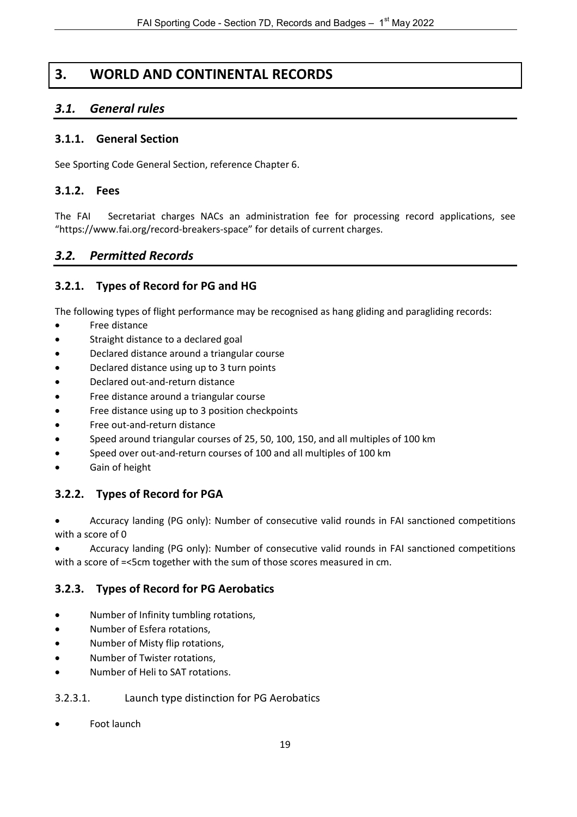# **3. WORLD AND CONTINENTAL RECORDS**

# <span id="page-18-1"></span><span id="page-18-0"></span>*3.1. General rules*

#### <span id="page-18-2"></span>**3.1.1. General Section**

See Sporting Code General Section, reference Chapter 6.

#### <span id="page-18-3"></span>**3.1.2. Fees**

The FAI Secretariat charges NACs an administration fee for processing record applications, see ["https://www.fai.org/record-breakers-space"](https://www.fai.org/record-breakers-space) for details of current charges.

# <span id="page-18-4"></span>*3.2. Permitted Records*

### <span id="page-18-5"></span>**3.2.1. Types of Record for PG and HG**

The following types of flight performance may be recognised as hang gliding and paragliding records:

- Free distance
- Straight distance to a declared goal
- Declared distance around a triangular course
- Declared distance using up to 3 turn points
- Declared out-and-return distance
- Free distance around a triangular course
- Free distance using up to 3 position checkpoints
- Free out-and-return distance
- Speed around triangular courses of 25, 50, 100, 150, and all multiples of 100 km
- Speed over out-and-return courses of 100 and all multiples of 100 km
- Gain of height

# <span id="page-18-6"></span>**3.2.2. Types of Record for PGA**

• Accuracy landing (PG only): Number of consecutive valid rounds in FAI sanctioned competitions with a score of 0

• Accuracy landing (PG only): Number of consecutive valid rounds in FAI sanctioned competitions with a score of =<5cm together with the sum of those scores measured in cm.

#### <span id="page-18-7"></span>**3.2.3. Types of Record for PG Aerobatics**

- Number of Infinity tumbling rotations,
- Number of Esfera rotations,
- Number of Misty flip rotations,
- Number of Twister rotations,
- Number of Heli to SAT rotations.

#### <span id="page-18-8"></span>3.2.3.1. Launch type distinction for PG Aerobatics

Foot launch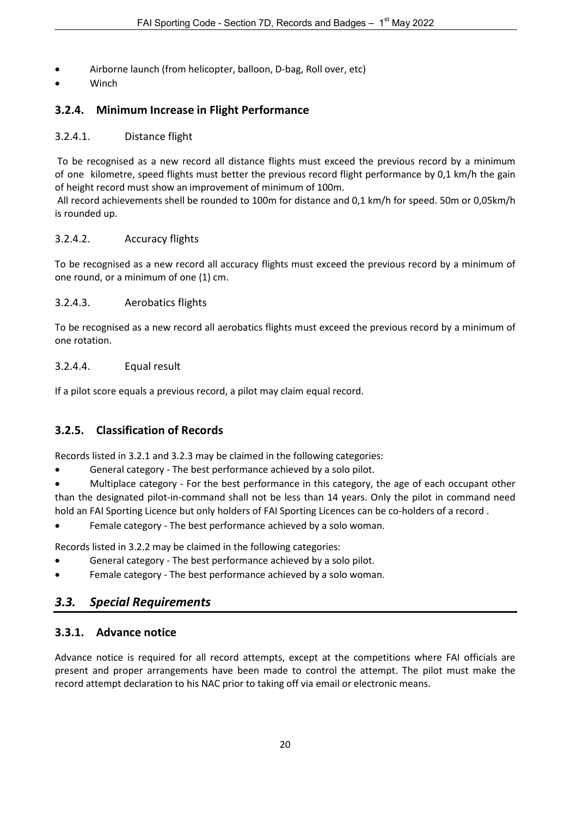- Airborne launch (from helicopter, balloon, D-bag, Roll over, etc)
- Winch

# <span id="page-19-0"></span>**3.2.4. Minimum Increase in Flight Performance**

#### <span id="page-19-1"></span>3.2.4.1. Distance flight

To be recognised as a new record all distance flights must exceed the previous record by a minimum of one kilometre, speed flights must better the previous record flight performance by 0,1 km/h the gain of height record must show an improvement of minimum of 100m.

All record achievements shell be rounded to 100m for distance and 0,1 km/h for speed. 50m or 0,05km/h is rounded up.

#### <span id="page-19-2"></span>3.2.4.2. Accuracy flights

To be recognised as a new record all accuracy flights must exceed the previous record by a minimum of one round, or a minimum of one (1) cm.

### <span id="page-19-3"></span>3.2.4.3. Aerobatics flights

To be recognised as a new record all aerobatics flights must exceed the previous record by a minimum of one rotation.

### <span id="page-19-4"></span>3.2.4.4. Equal result

If a pilot score equals a previous record, a pilot may claim equal record.

# <span id="page-19-5"></span>**3.2.5. Classification of Records**

Records listed in 3.2.1 and 3.2.3 may be claimed in the following categories:

• General category - The best performance achieved by a solo pilot.

• Multiplace category - For the best performance in this category, the age of each occupant other than the designated pilot-in-command shall not be less than 14 years. Only the pilot in command need hold an FAI Sporting Licence but only holders of FAI Sporting Licences can be co-holders of a record .

• Female category - The best performance achieved by a solo woman.

Records listed in 3.2.2 may be claimed in the following categories:

- General category The best performance achieved by a solo pilot.
- Female category The best performance achieved by a solo woman.

# <span id="page-19-6"></span>*3.3. Special Requirements*

# <span id="page-19-7"></span>**3.3.1. Advance notice**

Advance notice is required for all record attempts, except at the competitions where FAI officials are present and proper arrangements have been made to control the attempt. The pilot must make the record attempt declaration to his NAC prior to taking off via email or electronic means.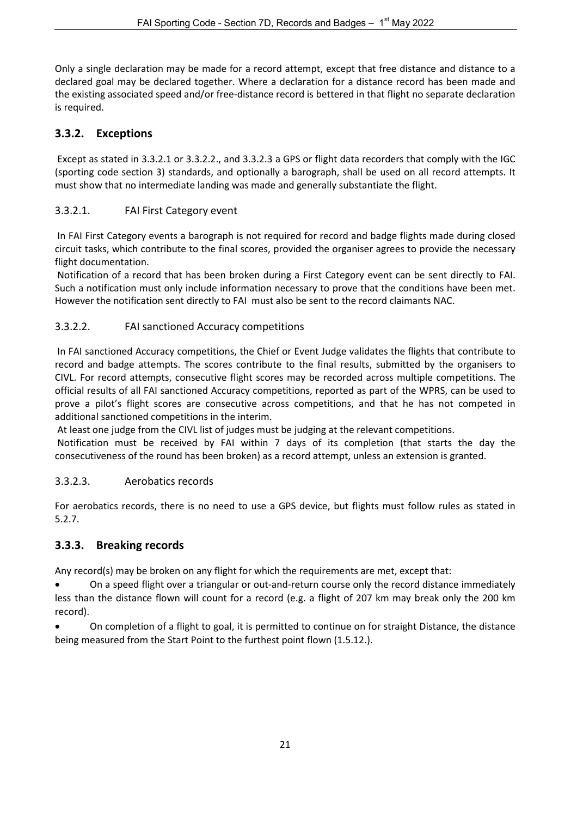Only a single declaration may be made for a record attempt, except that free distance and distance to a declared goal may be declared together. Where a declaration for a distance record has been made and the existing associated speed and/or free-distance record is bettered in that flight no separate declaration is required.

# <span id="page-20-0"></span>**3.3.2. Exceptions**

Except as stated in 3.3.2.1 or 3.3.2.2., and 3.3.2.3 a GPS or flight data recorders that comply with the IGC (sporting code section 3) standards, and optionally a barograph, shall be used on all record attempts. It must show that no intermediate landing was made and generally substantiate the flight.

# <span id="page-20-1"></span>3.3.2.1. FAI First Category event

In FAI First Category events a barograph is not required for record and badge flights made during closed circuit tasks, which contribute to the final scores, provided the organiser agrees to provide the necessary flight documentation.

Notification of a record that has been broken during a First Category event can be sent directly to FAI. Such a notification must only include information necessary to prove that the conditions have been met. However the notification sent directly to FAI must also be sent to the record claimants NAC.

# <span id="page-20-2"></span>3.3.2.2. FAI sanctioned Accuracy competitions

In FAI sanctioned Accuracy competitions, the Chief or Event Judge validates the flights that contribute to record and badge attempts. The scores contribute to the final results, submitted by the organisers to CIVL. For record attempts, consecutive flight scores may be recorded across multiple competitions. The official results of all FAI sanctioned Accuracy competitions, reported as part of the WPRS, can be used to prove a pilot's flight scores are consecutive across competitions, and that he has not competed in additional sanctioned competitions in the interim.

At least one judge from the CIVL list of judges must be judging at the relevant competitions.

Notification must be received by FAI within 7 days of its completion (that starts the day the consecutiveness of the round has been broken) as a record attempt, unless an extension is granted.

# <span id="page-20-3"></span>3.3.2.3. Aerobatics records

For aerobatics records, there is no need to use a GPS device, but flights must follow rules as stated in 5.2.7.

# <span id="page-20-4"></span>**3.3.3. Breaking records**

Any record(s) may be broken on any flight for which the requirements are met, except that:

• On a speed flight over a triangular or out-and-return course only the record distance immediately less than the distance flown will count for a record (e.g. a flight of 207 km may break only the 200 km record).

• On completion of a flight to goal, it is permitted to continue on for straight Distance, the distance being measured from the Start Point to the furthest point flown (1.5.12.).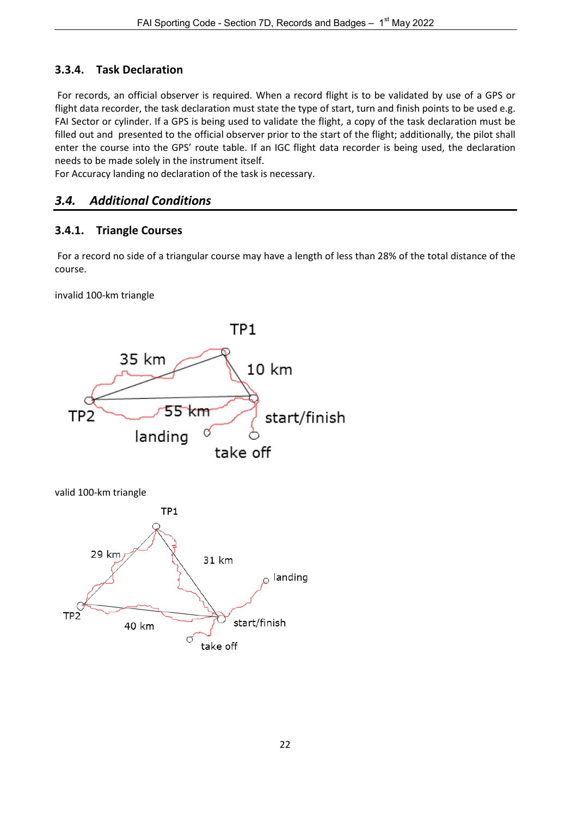# <span id="page-21-0"></span>**3.3.4. Task Declaration**

For records, an official observer is required. When a record flight is to be validated by use of a GPS or flight data recorder, the task declaration must state the type of start, turn and finish points to be used e.g. FAI Sector or cylinder. If a GPS is being used to validate the flight, a copy of the task declaration must be filled out and presented to the official observer prior to the start of the flight; additionally, the pilot shall enter the course into the GPS' route table. If an IGC flight data recorder is being used, the declaration needs to be made solely in the instrument itself.

For Accuracy landing no declaration of the task is necessary.

# <span id="page-21-1"></span>*3.4. Additional Conditions*

# <span id="page-21-2"></span>**3.4.1. Triangle Courses**

For a record no side of a triangular course may have a length of less than 28% of the total distance of the course.

invalid 100-km triangle

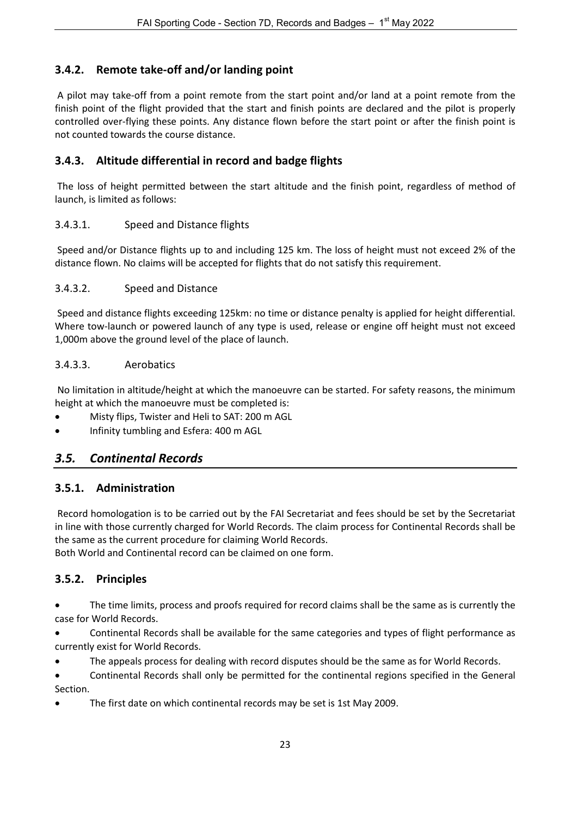# <span id="page-22-0"></span>**3.4.2. Remote take-off and/or landing point**

A pilot may take-off from a point remote from the start point and/or land at a point remote from the finish point of the flight provided that the start and finish points are declared and the pilot is properly controlled over-flying these points. Any distance flown before the start point or after the finish point is not counted towards the course distance.

# <span id="page-22-1"></span>**3.4.3. Altitude differential in record and badge flights**

The loss of height permitted between the start altitude and the finish point, regardless of method of launch, is limited as follows:

### <span id="page-22-2"></span>3.4.3.1. Speed and Distance flights

Speed and/or Distance flights up to and including 125 km. The loss of height must not exceed 2% of the distance flown. No claims will be accepted for flights that do not satisfy this requirement.

#### <span id="page-22-3"></span>3.4.3.2. Speed and Distance

Speed and distance flights exceeding 125km: no time or distance penalty is applied for height differential. Where tow-launch or powered launch of any type is used, release or engine off height must not exceed 1,000m above the ground level of the place of launch.

#### <span id="page-22-4"></span>3.4.3.3. Aerobatics

No limitation in altitude/height at which the manoeuvre can be started. For safety reasons, the minimum height at which the manoeuvre must be completed is:

- Misty flips, Twister and Heli to SAT: 200 m AGL
- Infinity tumbling and Esfera: 400 m AGL

# <span id="page-22-5"></span>*3.5. Continental Records*

#### <span id="page-22-6"></span>**3.5.1. Administration**

Record homologation is to be carried out by the FAI Secretariat and fees should be set by the Secretariat in line with those currently charged for World Records. The claim process for Continental Records shall be the same as the current procedure for claiming World Records.

<span id="page-22-7"></span>Both World and Continental record can be claimed on one form.

# **3.5.2. Principles**

• The time limits, process and proofs required for record claims shall be the same as is currently the case for World Records.

• Continental Records shall be available for the same categories and types of flight performance as currently exist for World Records.

- The appeals process for dealing with record disputes should be the same as for World Records.
- Continental Records shall only be permitted for the continental regions specified in the General Section.
- The first date on which continental records may be set is 1st May 2009.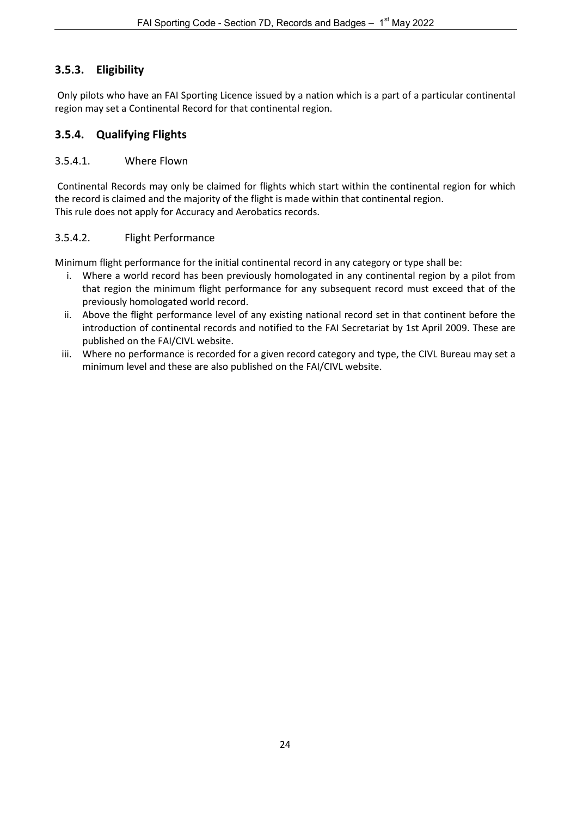# <span id="page-23-0"></span>**3.5.3. Eligibility**

Only pilots who have an FAI Sporting Licence issued by a nation which is a part of a particular continental region may set a Continental Record for that continental region.

# <span id="page-23-1"></span>**3.5.4. Qualifying Flights**

#### <span id="page-23-2"></span>3.5.4.1. Where Flown

Continental Records may only be claimed for flights which start within the continental region for which the record is claimed and the majority of the flight is made within that continental region. This rule does not apply for Accuracy and Aerobatics records.

### <span id="page-23-3"></span>3.5.4.2. Flight Performance

Minimum flight performance for the initial continental record in any category or type shall be:

- i. Where a world record has been previously homologated in any continental region by a pilot from that region the minimum flight performance for any subsequent record must exceed that of the previously homologated world record.
- ii. Above the flight performance level of any existing national record set in that continent before the introduction of continental records and notified to the FAI Secretariat by 1st April 2009. These are published on the FAI/CIVL website.
- iii. Where no performance is recorded for a given record category and type, the CIVL Bureau may set a minimum level and these are also published on the FAI/CIVL website.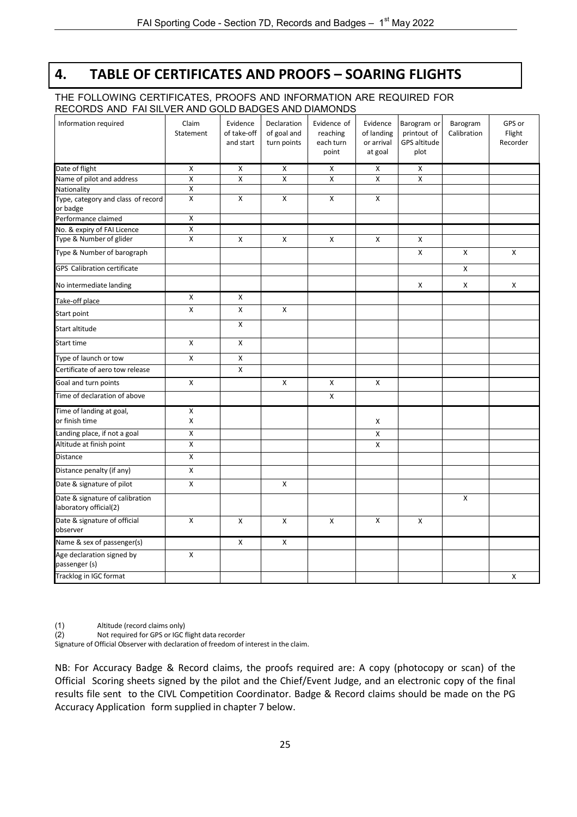# **4. TABLE OF CERTIFICATES AND PROOFS – SOARING FLIGHTS**

#### <span id="page-24-0"></span>THE FOLLOWING CERTIFICATES, PROOFS AND INFORMATION ARE REQUIRED FOR RECORDS AND FAI SILVER AND GOLD BADGES AND DIAMONDS

| Information required                                      | Claim<br>Statement      | Evidence<br>of take-off<br>and start | Declaration<br>of goal and<br>turn points | Evidence of<br>reaching<br>each turn<br>point | Evidence<br>of landing<br>or arrival<br>at goal | Barogram or<br>printout of<br>GPS altitude<br>plot | Barogram<br>Calibration   | GPS or<br>Flight<br>Recorder |
|-----------------------------------------------------------|-------------------------|--------------------------------------|-------------------------------------------|-----------------------------------------------|-------------------------------------------------|----------------------------------------------------|---------------------------|------------------------------|
| Date of flight                                            | X                       | X                                    | X                                         | X                                             | X                                               | X                                                  |                           |                              |
| Name of pilot and address                                 | $\overline{\mathsf{x}}$ | $\overline{X}$                       | $\overline{X}$                            | $\overline{\mathsf{x}}$                       | X                                               | $\overline{X}$                                     |                           |                              |
| Nationality                                               | X                       |                                      |                                           |                                               |                                                 |                                                    |                           |                              |
| Type, category and class of record<br>or badge            | X                       | X                                    | X                                         | X                                             | X                                               |                                                    |                           |                              |
| Performance claimed                                       | X                       |                                      |                                           |                                               |                                                 |                                                    |                           |                              |
| No. & expiry of FAI Licence                               | X                       |                                      |                                           |                                               |                                                 |                                                    |                           |                              |
| Type & Number of glider                                   | X                       | X                                    | X                                         | X                                             | X                                               | X                                                  |                           |                              |
| Type & Number of barograph                                |                         |                                      |                                           |                                               |                                                 | X                                                  | $\pmb{\mathsf{X}}$        | $\pmb{\times}$               |
| <b>GPS Calibration certificate</b>                        |                         |                                      |                                           |                                               |                                                 |                                                    | $\boldsymbol{\mathsf{x}}$ |                              |
| No intermediate landing                                   |                         |                                      |                                           |                                               |                                                 | X                                                  | X                         | X                            |
| Take-off place                                            | X                       | X                                    |                                           |                                               |                                                 |                                                    |                           |                              |
| Start point                                               | X                       | X                                    | X                                         |                                               |                                                 |                                                    |                           |                              |
| Start altitude                                            |                         | X                                    |                                           |                                               |                                                 |                                                    |                           |                              |
| Start time                                                | X                       | X                                    |                                           |                                               |                                                 |                                                    |                           |                              |
| Type of launch or tow                                     | X                       | X                                    |                                           |                                               |                                                 |                                                    |                           |                              |
| Certificate of aero tow release                           |                         | $\mathsf{x}$                         |                                           |                                               |                                                 |                                                    |                           |                              |
| Goal and turn points                                      | X                       |                                      | X                                         | X                                             | X                                               |                                                    |                           |                              |
| Time of declaration of above                              |                         |                                      |                                           | X                                             |                                                 |                                                    |                           |                              |
| Time of landing at goal,<br>or finish time                | X<br>X                  |                                      |                                           |                                               | X                                               |                                                    |                           |                              |
| Landing place, if not a goal                              | X                       |                                      |                                           |                                               | X                                               |                                                    |                           |                              |
| Altitude at finish point                                  | X                       |                                      |                                           |                                               | X                                               |                                                    |                           |                              |
| <b>Distance</b>                                           | X                       |                                      |                                           |                                               |                                                 |                                                    |                           |                              |
| Distance penalty (if any)                                 | X                       |                                      |                                           |                                               |                                                 |                                                    |                           |                              |
| Date & signature of pilot                                 | Χ                       |                                      | X                                         |                                               |                                                 |                                                    |                           |                              |
| Date & signature of calibration<br>laboratory official(2) |                         |                                      |                                           |                                               |                                                 |                                                    | X                         |                              |
| Date & signature of official<br>observer                  | $\mathsf{x}$            | $\mathsf{x}$                         | $\mathsf{x}$                              | $\mathsf{x}$                                  | $\boldsymbol{\mathsf{x}}$                       | X                                                  |                           |                              |
| Name & sex of passenger(s)                                |                         | X                                    | X                                         |                                               |                                                 |                                                    |                           |                              |
| Age declaration signed by<br>passenger (s)                | X                       |                                      |                                           |                                               |                                                 |                                                    |                           |                              |
| Tracklog in IGC format                                    |                         |                                      |                                           |                                               |                                                 |                                                    |                           | X                            |

(1) Altitude (record claims only)

(2) Not required for GPS or IGC flight data recorder

Signature of Official Observer with declaration of freedom of interest in the claim.

NB: For Accuracy Badge & Record claims, the proofs required are: A copy (photocopy or scan) of the Official Scoring sheets signed by the pilot and the Chief/Event Judge, and an electronic copy of the final results file sent to the CIVL Competition Coordinator. Badge & Record claims should be made on the PG Accuracy Application form supplied in chapter 7 below.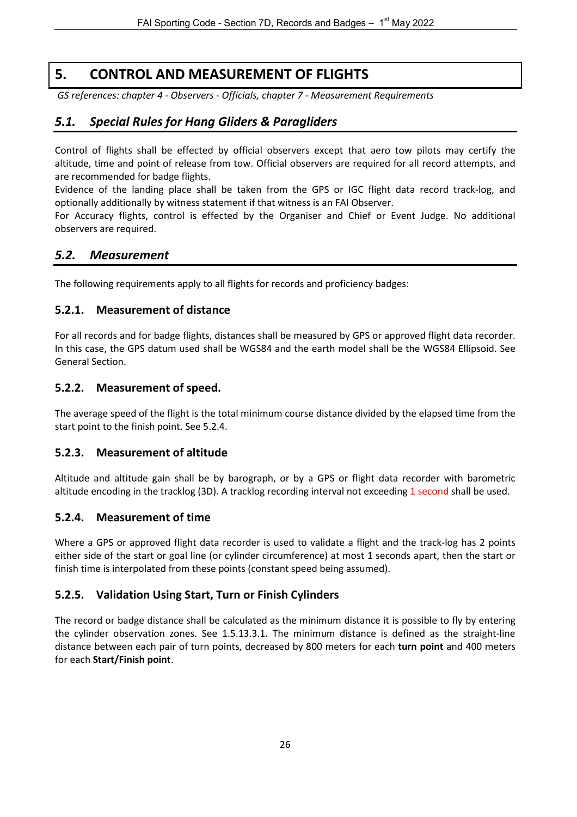# **5. CONTROL AND MEASUREMENT OF FLIGHTS**

<span id="page-25-0"></span>*GS references: chapter 4 - Observers - Officials, chapter 7 - Measurement Requirements*

# <span id="page-25-1"></span>*5.1. Special Rules for Hang Gliders & Paragliders*

Control of flights shall be effected by official observers except that aero tow pilots may certify the altitude, time and point of release from tow. Official observers are required for all record attempts, and are recommended for badge flights.

Evidence of the landing place shall be taken from the GPS or IGC flight data record track-log, and optionally additionally by witness statement if that witness is an FAI Observer.

For Accuracy flights, control is effected by the Organiser and Chief or Event Judge. No additional observers are required.

# <span id="page-25-2"></span>*5.2. Measurement*

<span id="page-25-3"></span>The following requirements apply to all flights for records and proficiency badges:

#### **5.2.1. Measurement of distance**

For all records and for badge flights, distances shall be measured by GPS or approved flight data recorder. In this case, the GPS datum used shall be WGS84 and the earth model shall be the WGS84 Ellipsoid. See General Section.

#### <span id="page-25-4"></span>**5.2.2. Measurement of speed.**

The average speed of the flight is the total minimum course distance divided by the elapsed time from the start point to the finish point. See 5.2.4.

#### <span id="page-25-5"></span>**5.2.3. Measurement of altitude**

Altitude and altitude gain shall be by barograph, or by a GPS or flight data recorder with barometric altitude encoding in the tracklog (3D). A tracklog recording interval not exceeding 1 second shall be used.

#### <span id="page-25-6"></span>**5.2.4. Measurement of time**

Where a GPS or approved flight data recorder is used to validate a flight and the track-log has 2 points either side of the start or goal line (or cylinder circumference) at most 1 seconds apart, then the start or finish time is interpolated from these points (constant speed being assumed).

#### <span id="page-25-7"></span>**5.2.5. Validation Using Start, Turn or Finish Cylinders**

The record or badge distance shall be calculated as the minimum distance it is possible to fly by entering the cylinder observation zones. See 1.5.13.3.1. The minimum distance is defined as the straight-line distance between each pair of turn points, decreased by 800 meters for each **turn point** and 400 meters for each **Start/Finish point**.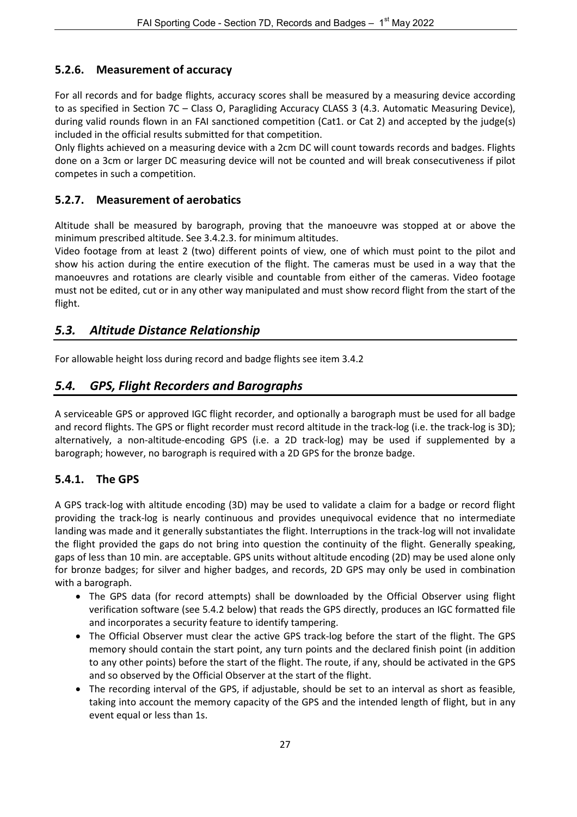# <span id="page-26-0"></span>**5.2.6. Measurement of accuracy**

For all records and for badge flights, accuracy scores shall be measured by a measuring device according to as specified in Section 7C – Class O, Paragliding Accuracy CLASS 3 (4.3. Automatic Measuring Device), during valid rounds flown in an FAI sanctioned competition (Cat1. or Cat 2) and accepted by the judge(s) included in the official results submitted for that competition.

Only flights achieved on a measuring device with a 2cm DC will count towards records and badges. Flights done on a 3cm or larger DC measuring device will not be counted and will break consecutiveness if pilot competes in such a competition.

# <span id="page-26-1"></span>**5.2.7. Measurement of aerobatics**

Altitude shall be measured by barograph, proving that the manoeuvre was stopped at or above the minimum prescribed altitude. See 3.4.2.3. for minimum altitudes.

Video footage from at least 2 (two) different points of view, one of which must point to the pilot and show his action during the entire execution of the flight. The cameras must be used in a way that the manoeuvres and rotations are clearly visible and countable from either of the cameras. Video footage must not be edited, cut or in any other way manipulated and must show record flight from the start of the flight.

# <span id="page-26-2"></span>*5.3. Altitude Distance Relationship*

For allowable height loss during record and badge flights see item 3.4.2

# <span id="page-26-3"></span>*5.4. GPS, Flight Recorders and Barographs*

A serviceable GPS or approved IGC flight recorder, and optionally a barograph must be used for all badge and record flights. The GPS or flight recorder must record altitude in the track-log (i.e. the track-log is 3D); alternatively, a non-altitude-encoding GPS (i.e. a 2D track-log) may be used if supplemented by a barograph; however, no barograph is required with a 2D GPS for the bronze badge.

# <span id="page-26-4"></span>**5.4.1. The GPS**

A GPS track-log with altitude encoding (3D) may be used to validate a claim for a badge or record flight providing the track-log is nearly continuous and provides unequivocal evidence that no intermediate landing was made and it generally substantiates the flight. Interruptions in the track-log will not invalidate the flight provided the gaps do not bring into question the continuity of the flight. Generally speaking, gaps of less than 10 min. are acceptable. GPS units without altitude encoding (2D) may be used alone only for bronze badges; for silver and higher badges, and records, 2D GPS may only be used in combination with a barograph.

- The GPS data (for record attempts) shall be downloaded by the Official Observer using flight verification software (see 5.4.2 below) that reads the GPS directly, produces an IGC formatted file and incorporates a security feature to identify tampering.
- The Official Observer must clear the active GPS track-log before the start of the flight. The GPS memory should contain the start point, any turn points and the declared finish point (in addition to any other points) before the start of the flight. The route, if any, should be activated in the GPS and so observed by the Official Observer at the start of the flight.
- The recording interval of the GPS, if adjustable, should be set to an interval as short as feasible, taking into account the memory capacity of the GPS and the intended length of flight, but in any event equal or less than 1s.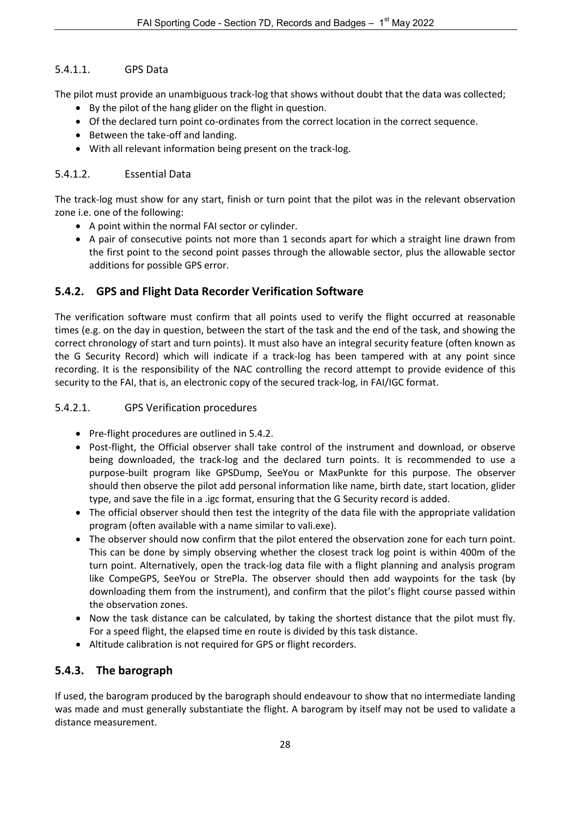### <span id="page-27-0"></span>5.4.1.1. GPS Data

The pilot must provide an unambiguous track-log that shows without doubt that the data was collected;

- By the pilot of the hang glider on the flight in question.
- Of the declared turn point co-ordinates from the correct location in the correct sequence.
- Between the take-off and landing.
- With all relevant information being present on the track-log.

#### <span id="page-27-1"></span>5.4.1.2. Essential Data

The track-log must show for any start, finish or turn point that the pilot was in the relevant observation zone i.e. one of the following:

- A point within the normal FAI sector or cylinder.
- A pair of consecutive points not more than 1 seconds apart for which a straight line drawn from the first point to the second point passes through the allowable sector, plus the allowable sector additions for possible GPS error.

### <span id="page-27-2"></span>**5.4.2. GPS and Flight Data Recorder Verification Software**

The verification software must confirm that all points used to verify the flight occurred at reasonable times (e.g. on the day in question, between the start of the task and the end of the task, and showing the correct chronology of start and turn points). It must also have an integral security feature (often known as the G Security Record) which will indicate if a track-log has been tampered with at any point since recording. It is the responsibility of the NAC controlling the record attempt to provide evidence of this security to the FAI, that is, an electronic copy of the secured track-log, in FAI/IGC format.

#### <span id="page-27-3"></span>5.4.2.1. GPS Verification procedures

- Pre-flight procedures are outlined in 5.4.2.
- Post-flight, the Official observer shall take control of the instrument and download, or observe being downloaded, the track-log and the declared turn points. It is recommended to use a purpose-built program like GPSDump, SeeYou or MaxPunkte for this purpose. The observer should then observe the pilot add personal information like name, birth date, start location, glider type, and save the file in a .igc format, ensuring that the G Security record is added.
- The official observer should then test the integrity of the data file with the appropriate validation program (often available with a name similar to vali.exe).
- The observer should now confirm that the pilot entered the observation zone for each turn point. This can be done by simply observing whether the closest track log point is within 400m of the turn point. Alternatively, open the track-log data file with a flight planning and analysis program like CompeGPS, SeeYou or StrePla. The observer should then add waypoints for the task (by downloading them from the instrument), and confirm that the pilot's flight course passed within the observation zones.
- Now the task distance can be calculated, by taking the shortest distance that the pilot must fly. For a speed flight, the elapsed time en route is divided by this task distance.
- Altitude calibration is not required for GPS or flight recorders.

# <span id="page-27-4"></span>**5.4.3. The barograph**

If used, the barogram produced by the barograph should endeavour to show that no intermediate landing was made and must generally substantiate the flight. A barogram by itself may not be used to validate a distance measurement.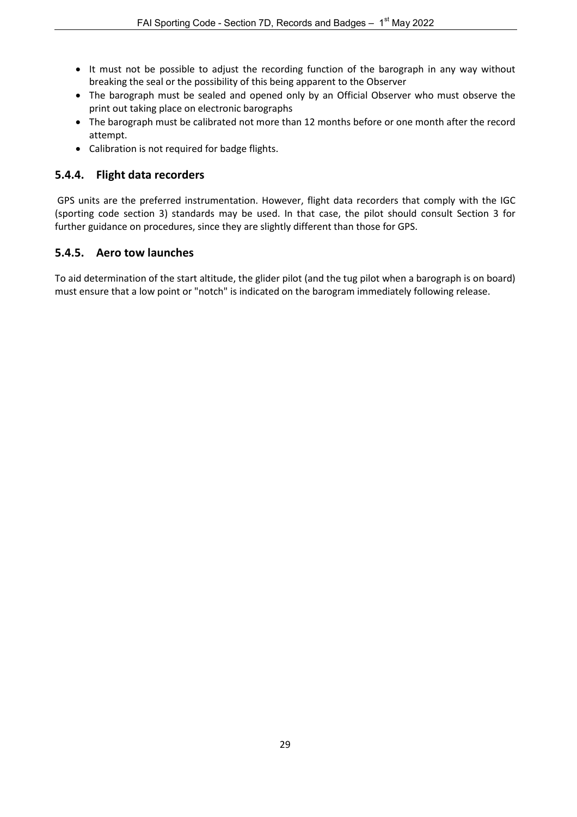- It must not be possible to adjust the recording function of the barograph in any way without breaking the seal or the possibility of this being apparent to the Observer
- The barograph must be sealed and opened only by an Official Observer who must observe the print out taking place on electronic barographs
- The barograph must be calibrated not more than 12 months before or one month after the record attempt.
- Calibration is not required for badge flights.

#### <span id="page-28-0"></span>**5.4.4. Flight data recorders**

GPS units are the preferred instrumentation. However, flight data recorders that comply with the IGC (sporting code section 3) standards may be used. In that case, the pilot should consult Section 3 for further guidance on procedures, since they are slightly different than those for GPS.

# <span id="page-28-1"></span>**5.4.5. Aero tow launches**

To aid determination of the start altitude, the glider pilot (and the tug pilot when a barograph is on board) must ensure that a low point or "notch" is indicated on the barogram immediately following release.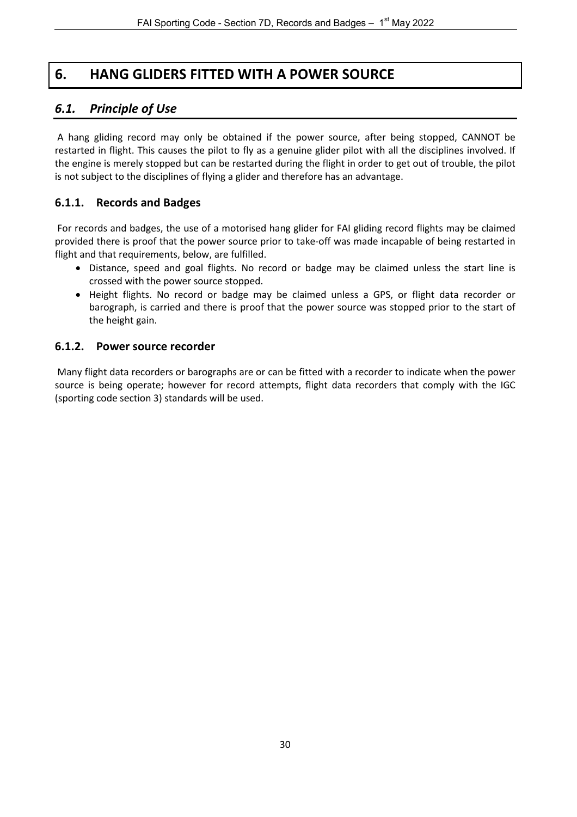# **6. HANG GLIDERS FITTED WITH A POWER SOURCE**

# <span id="page-29-1"></span><span id="page-29-0"></span>*6.1. Principle of Use*

A hang gliding record may only be obtained if the power source, after being stopped, CANNOT be restarted in flight. This causes the pilot to fly as a genuine glider pilot with all the disciplines involved. If the engine is merely stopped but can be restarted during the flight in order to get out of trouble, the pilot is not subject to the disciplines of flying a glider and therefore has an advantage.

#### <span id="page-29-2"></span>**6.1.1. Records and Badges**

For records and badges, the use of a motorised hang glider for FAI gliding record flights may be claimed provided there is proof that the power source prior to take-off was made incapable of being restarted in flight and that requirements, below, are fulfilled.

- Distance, speed and goal flights. No record or badge may be claimed unless the start line is crossed with the power source stopped.
- Height flights. No record or badge may be claimed unless a GPS, or flight data recorder or barograph, is carried and there is proof that the power source was stopped prior to the start of the height gain.

#### <span id="page-29-3"></span>**6.1.2. Power source recorder**

Many flight data recorders or barographs are or can be fitted with a recorder to indicate when the power source is being operate; however for record attempts, flight data recorders that comply with the IGC (sporting code section 3) standards will be used.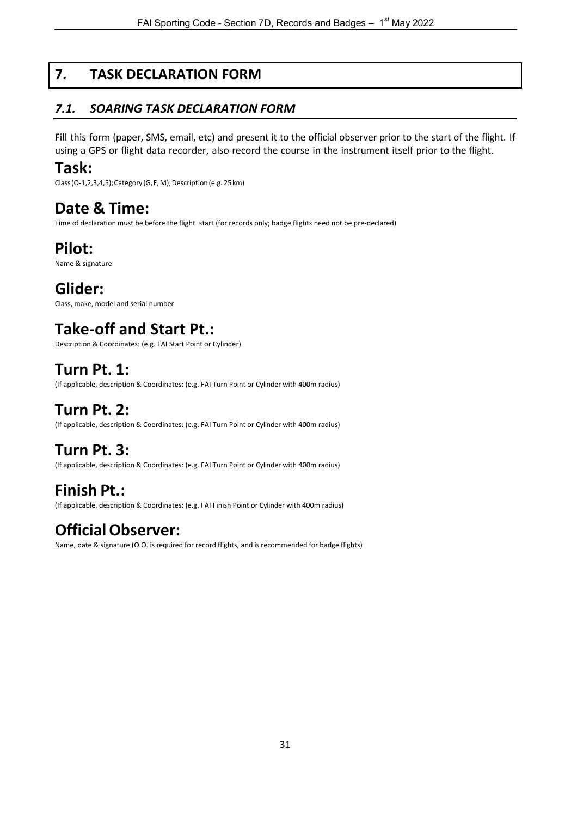# **7. TASK DECLARATION FORM**

# <span id="page-30-1"></span><span id="page-30-0"></span>*7.1. SOARING TASK DECLARATION FORM*

Fill this form (paper, SMS, email, etc) and present it to the official observer prior to the start of the flight. If using a GPS or flight data recorder, also record the course in the instrument itself prior to the flight.

# **Task:**

Class (O-1,2,3,4,5); Category (G, F, M); Description (e.g. 25 km)

# **Date & Time:**

Time of declaration must be before the flight start (for records only; badge flights need not be pre-declared)

# **Pilot:**

Name & signature

# **Glider:**

Class, make, model and serial number

# **Take-off and Start Pt.:**

Description & Coordinates: (e.g. FAI Start Point or Cylinder)

# **Turn Pt. 1:**

(If applicable, description & Coordinates: (e.g. FAI Turn Point or Cylinder with 400m radius)

# **Turn Pt. 2:**

(If applicable, description & Coordinates: (e.g. FAI Turn Point or Cylinder with 400m radius)

# **Turn Pt. 3:**

(If applicable, description & Coordinates: (e.g. FAI Turn Point or Cylinder with 400m radius)

# **Finish Pt.:**

(If applicable, description & Coordinates: (e.g. FAI Finish Point or Cylinder with 400m radius)

# **OfficialObserver:**

Name, date & signature (O.O. is required for record flights, and is recommended for badge flights)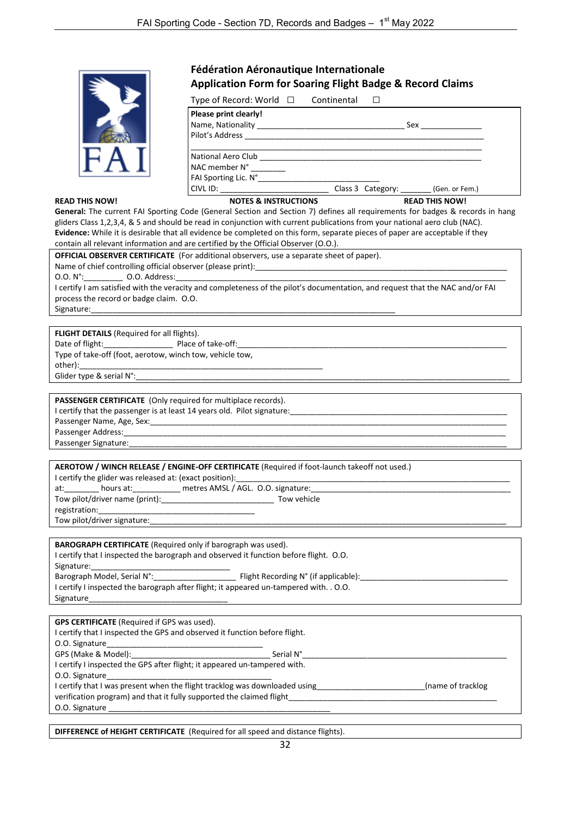|                       | Fédération Aéronautique Internationale<br><b>Application Form for Soaring Flight Badge &amp; Record Claims</b>                                                                                                                 |                                  |                                                                                                                |
|-----------------------|--------------------------------------------------------------------------------------------------------------------------------------------------------------------------------------------------------------------------------|----------------------------------|----------------------------------------------------------------------------------------------------------------|
|                       | Type of Record: World $\Box$ Continental                                                                                                                                                                                       | $\Box$                           |                                                                                                                |
|                       | Please print clearly!<br>Pilot's Address                                                                                                                                                                                       |                                  | Sex and the set of the set of the set of the set of the set of the set of the set of the set of the set of the |
|                       | National Aero Club <b>Exercise 2018</b><br>NAC member N° ________<br>FAI Sporting Lic. N°                                                                                                                                      |                                  |                                                                                                                |
|                       | CIVL ID: The contract of the contract of the contract of the contract of the contract of the contract of the contract of the contract of the contract of the contract of the contract of the contract of the contract of the c | Class 3 Category: (Gen. or Fem.) |                                                                                                                |
| <b>READ THIS NOW!</b> | <b>NOTES &amp; INSTRUCTIONS</b>                                                                                                                                                                                                |                                  | <b>READ THIS NOW!</b>                                                                                          |

**General:** The current FAI Sporting Code (General Section and Section 7) defines all requirements for badges & records in hang gliders Class 1,2,3,4, & 5 and should be read in conjunction with current publications from your national aero club (NAC). **Evidence:** While it is desirable that all evidence be completed on this form, separate pieces of paper are acceptable if they contain all relevant information and are certified by the Official Observer (O.O.).

| OFFICIAL OBSERVER CERTIFICATE (For additional observers, use a separate sheet of paper).                                                                                                                                       |
|--------------------------------------------------------------------------------------------------------------------------------------------------------------------------------------------------------------------------------|
|                                                                                                                                                                                                                                |
| 0.0. N°: 0.0. Address: 0.0. Address: 0.0. Address: 0.0. N°: 0.0. N°: 0.0. N°: 0.0. Address: 0.0. N°: 0.0. Address: 0.0. N°: 0.0. N°: 0.0. N°: 0.0. N°: 0.0. N°: 0.0. N°: 0.0. N°: 0.0. N°: 0.0. N°: 0.0. N°: 0.0. N°: 0.0. N°: |
| I certify I am satisfied with the veracity and completeness of the pilot's documentation, and request that the NAC and/or FAI                                                                                                  |
| process the record or badge claim. O.O.                                                                                                                                                                                        |
|                                                                                                                                                                                                                                |
|                                                                                                                                                                                                                                |
| <b>FLIGHT DETAILS</b> (Required for all flights).                                                                                                                                                                              |
|                                                                                                                                                                                                                                |
| Type of take-off (foot, aerotow, winch tow, vehicle tow,                                                                                                                                                                       |
|                                                                                                                                                                                                                                |
|                                                                                                                                                                                                                                |
|                                                                                                                                                                                                                                |
| PASSENGER CERTIFICATE (Only required for multiplace records).                                                                                                                                                                  |
|                                                                                                                                                                                                                                |
|                                                                                                                                                                                                                                |
|                                                                                                                                                                                                                                |
|                                                                                                                                                                                                                                |
|                                                                                                                                                                                                                                |
|                                                                                                                                                                                                                                |
| AEROTOW / WINCH RELEASE / ENGINE-OFF CERTIFICATE (Required if foot-launch takeoff not used.)                                                                                                                                   |
|                                                                                                                                                                                                                                |
| at: hours at: hours at: https://en.com/example.org/com/example.org/com/example.org/com/example.org/com/example.                                                                                                                |
|                                                                                                                                                                                                                                |
|                                                                                                                                                                                                                                |
|                                                                                                                                                                                                                                |
|                                                                                                                                                                                                                                |
| <b>BAROGRAPH CERTIFICATE</b> (Required only if barograph was used).                                                                                                                                                            |
| I certify that I inspected the barograph and observed it function before flight. O.O.                                                                                                                                          |
|                                                                                                                                                                                                                                |
|                                                                                                                                                                                                                                |
| I certify I inspected the barograph after flight; it appeared un-tampered with. . O.O.                                                                                                                                         |
|                                                                                                                                                                                                                                |
|                                                                                                                                                                                                                                |
| Signature                                                                                                                                                                                                                      |
|                                                                                                                                                                                                                                |
| <b>GPS CERTIFICATE</b> (Required if GPS was used).                                                                                                                                                                             |
| I certify that I inspected the GPS and observed it function before flight.                                                                                                                                                     |
|                                                                                                                                                                                                                                |
| I certify I inspected the GPS after flight; it appeared un-tampered with.                                                                                                                                                      |

O.O. Signature I certify that I was present when the flight tracklog was downloaded using\_\_\_\_\_\_\_\_\_\_\_\_\_\_\_\_\_\_\_\_\_\_\_(name of tracklog verification program) and that it fully supported the claimed flight\_ O.O. Signature

**DIFFERENCE of HEIGHT CERTIFICATE** (Required for all speed and distance flights).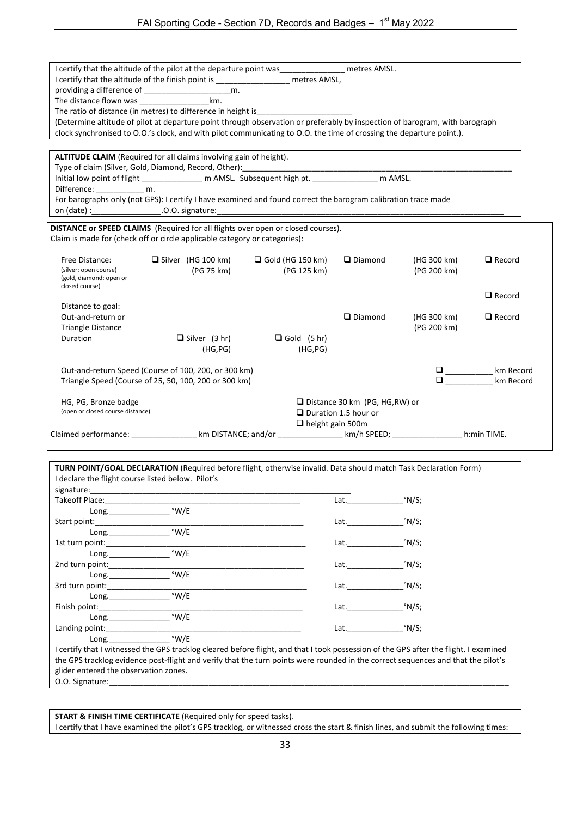|                                           | I certify that the altitude of the pilot at the departure point was _______________________ metres AMSL.                                                       |                         |                                       |                                                                                                                                                                                                                                                                                                                                                             |               |
|-------------------------------------------|----------------------------------------------------------------------------------------------------------------------------------------------------------------|-------------------------|---------------------------------------|-------------------------------------------------------------------------------------------------------------------------------------------------------------------------------------------------------------------------------------------------------------------------------------------------------------------------------------------------------------|---------------|
|                                           | I certify that the altitude of the finish point is ___________________ metres AMSL,                                                                            |                         |                                       |                                                                                                                                                                                                                                                                                                                                                             |               |
|                                           |                                                                                                                                                                |                         |                                       |                                                                                                                                                                                                                                                                                                                                                             |               |
|                                           | km.                                                                                                                                                            |                         |                                       |                                                                                                                                                                                                                                                                                                                                                             |               |
|                                           | The ratio of distance (in metres) to difference in height is                                                                                                   |                         |                                       |                                                                                                                                                                                                                                                                                                                                                             |               |
|                                           | (Determine altitude of pilot at departure point through observation or preferably by inspection of barogram, with barograph                                    |                         |                                       |                                                                                                                                                                                                                                                                                                                                                             |               |
|                                           | clock synchronised to O.O.'s clock, and with pilot communicating to O.O. the time of crossing the departure point.).                                           |                         |                                       |                                                                                                                                                                                                                                                                                                                                                             |               |
|                                           |                                                                                                                                                                |                         |                                       |                                                                                                                                                                                                                                                                                                                                                             |               |
|                                           | ALTITUDE CLAIM (Required for all claims involving gain of height).<br>Type of claim (Silver, Gold, Diamond, Record, Other):                                    |                         |                                       |                                                                                                                                                                                                                                                                                                                                                             |               |
|                                           | Initial low point of flight _______________ m AMSL. Subsequent high pt. ________________ m AMSL.                                                               |                         |                                       |                                                                                                                                                                                                                                                                                                                                                             |               |
| Difference: ________________ m.           |                                                                                                                                                                |                         |                                       |                                                                                                                                                                                                                                                                                                                                                             |               |
|                                           | For barographs only (not GPS): I certify I have examined and found correct the barogram calibration trace made                                                 |                         |                                       |                                                                                                                                                                                                                                                                                                                                                             |               |
|                                           |                                                                                                                                                                |                         |                                       |                                                                                                                                                                                                                                                                                                                                                             |               |
|                                           |                                                                                                                                                                |                         |                                       |                                                                                                                                                                                                                                                                                                                                                             |               |
|                                           | DISTANCE or SPEED CLAIMS (Required for all flights over open or closed courses).<br>Claim is made for (check off or circle applicable category or categories): |                         |                                       |                                                                                                                                                                                                                                                                                                                                                             |               |
|                                           |                                                                                                                                                                |                         |                                       |                                                                                                                                                                                                                                                                                                                                                             |               |
| Free Distance:                            | $\Box$ Silver (HG 100 km)                                                                                                                                      | $\Box$ Gold (HG 150 km) | $\Box$ Diamond                        | (HG 300 km)                                                                                                                                                                                                                                                                                                                                                 | $\Box$ Record |
| (silver: open course)                     | (PG 75 km)                                                                                                                                                     | (PG 125 km)             |                                       | (PG 200 km)                                                                                                                                                                                                                                                                                                                                                 |               |
| (gold, diamond: open or<br>closed course) |                                                                                                                                                                |                         |                                       |                                                                                                                                                                                                                                                                                                                                                             |               |
|                                           |                                                                                                                                                                |                         |                                       |                                                                                                                                                                                                                                                                                                                                                             | $\Box$ Record |
| Distance to goal:                         |                                                                                                                                                                |                         |                                       |                                                                                                                                                                                                                                                                                                                                                             |               |
| Out-and-return or                         |                                                                                                                                                                |                         | $\Box$ Diamond                        | (HG 300 km)                                                                                                                                                                                                                                                                                                                                                 | $\Box$ Record |
| <b>Triangle Distance</b>                  |                                                                                                                                                                |                         |                                       | (PG 200 km)                                                                                                                                                                                                                                                                                                                                                 |               |
| Duration                                  | $\Box$ Silver (3 hr)                                                                                                                                           | $\Box$ Gold (5 hr)      |                                       |                                                                                                                                                                                                                                                                                                                                                             |               |
|                                           | (HG, PG)                                                                                                                                                       | (HG, PG)                |                                       |                                                                                                                                                                                                                                                                                                                                                             |               |
|                                           |                                                                                                                                                                |                         |                                       |                                                                                                                                                                                                                                                                                                                                                             |               |
|                                           | Out-and-return Speed (Course of 100, 200, or 300 km)                                                                                                           |                         |                                       |                                                                                                                                                                                                                                                                                                                                                             | km Record     |
|                                           | Triangle Speed (Course of 25, 50, 100, 200 or 300 km)                                                                                                          |                         |                                       | $\begin{tabular}{ c c c } \hline \rule{0.3cm}{.04cm} \rule{0.3cm}{.04cm} \rule{0.3cm}{.04cm} \rule{0.3cm}{.04cm} \rule{0.3cm}{.04cm} \rule{0.3cm}{.04cm} \rule{0.3cm}{.04cm} \rule{0.3cm}{.04cm} \rule{0.3cm}{.04cm} \rule{0.3cm}{.04cm} \rule{0.3cm}{.04cm} \rule{0.3cm}{.04cm} \rule{0.3cm}{.04cm} \rule{0.3cm}{.04cm} \rule{0.3cm}{.04cm} \rule{0.3cm}{$ | km Record     |
|                                           |                                                                                                                                                                |                         |                                       |                                                                                                                                                                                                                                                                                                                                                             |               |
| HG, PG, Bronze badge                      |                                                                                                                                                                |                         | $\Box$ Distance 30 km (PG, HG, RW) or |                                                                                                                                                                                                                                                                                                                                                             |               |
| (open or closed course distance)          |                                                                                                                                                                |                         | $\Box$ Duration 1.5 hour or           |                                                                                                                                                                                                                                                                                                                                                             |               |
|                                           |                                                                                                                                                                | $\Box$ height gain 500m |                                       |                                                                                                                                                                                                                                                                                                                                                             |               |
|                                           | Claimed performance: ____________________km DISTANCE; and/or ___________________km/h SPEED; _________________h:min TIME.                                       |                         |                                       |                                                                                                                                                                                                                                                                                                                                                             |               |

| Lat. $\qquad \qquad$<br>$Long.$ $W/E$<br>°N/S;<br>Lat.<br>°N/S;<br>Lat.<br>$Long.$ $W/E$<br>°N/S;<br>Lat.<br>$Long.$ $W/E$<br>°N/S;<br>Lat.<br>°N/S;<br>Lat. <b>Example 20</b><br>$Long.$ $W/E$<br>Lat.<br>°N/S;<br>I certify that I witnessed the GPS tracklog cleared before flight, and that I took possession of the GPS after the flight. I examined |                                            | °N/S; |  |
|-----------------------------------------------------------------------------------------------------------------------------------------------------------------------------------------------------------------------------------------------------------------------------------------------------------------------------------------------------------|--------------------------------------------|-------|--|
|                                                                                                                                                                                                                                                                                                                                                           |                                            |       |  |
|                                                                                                                                                                                                                                                                                                                                                           |                                            |       |  |
|                                                                                                                                                                                                                                                                                                                                                           |                                            |       |  |
|                                                                                                                                                                                                                                                                                                                                                           |                                            |       |  |
|                                                                                                                                                                                                                                                                                                                                                           |                                            |       |  |
|                                                                                                                                                                                                                                                                                                                                                           |                                            |       |  |
|                                                                                                                                                                                                                                                                                                                                                           |                                            |       |  |
|                                                                                                                                                                                                                                                                                                                                                           |                                            |       |  |
|                                                                                                                                                                                                                                                                                                                                                           |                                            |       |  |
|                                                                                                                                                                                                                                                                                                                                                           |                                            |       |  |
|                                                                                                                                                                                                                                                                                                                                                           |                                            |       |  |
|                                                                                                                                                                                                                                                                                                                                                           |                                            |       |  |
|                                                                                                                                                                                                                                                                                                                                                           |                                            |       |  |
|                                                                                                                                                                                                                                                                                                                                                           |                                            |       |  |
|                                                                                                                                                                                                                                                                                                                                                           |                                            |       |  |
| glider entered the observation zones.                                                                                                                                                                                                                                                                                                                     | <b>O.O.</b> Signature: <b>Example 2018</b> |       |  |

**START & FINISH TIME CERTIFICATE** (Required only for speed tasks). I certify that I have examined the pilot's GPS tracklog, or witnessed cross the start & finish lines, and submit the following times: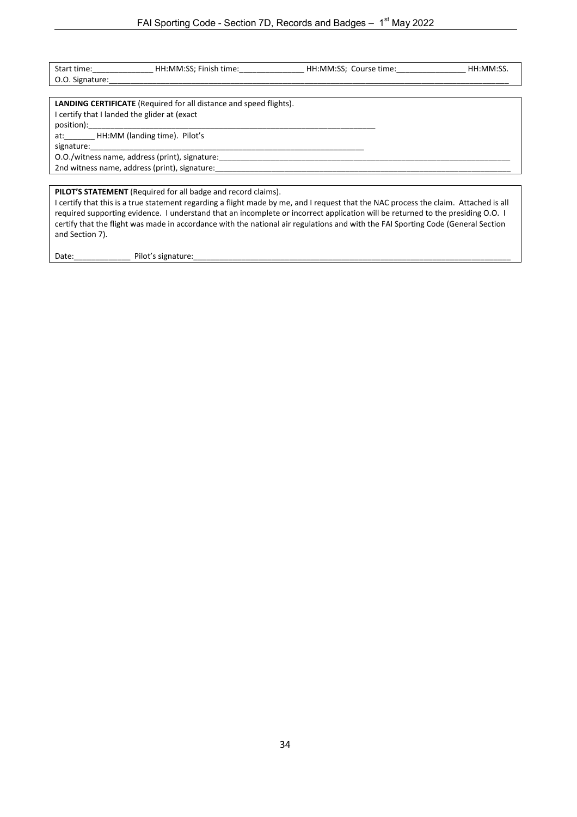|                                              | Start time: HH:MM:SS; Finish time:                                                                                                                                                                                             | HH:MM:SS; Course time: | HH:MM:SS. |
|----------------------------------------------|--------------------------------------------------------------------------------------------------------------------------------------------------------------------------------------------------------------------------------|------------------------|-----------|
| O.O. Signature:                              |                                                                                                                                                                                                                                |                        |           |
|                                              |                                                                                                                                                                                                                                |                        |           |
|                                              | <b>LANDING CERTIFICATE</b> (Required for all distance and speed flights).                                                                                                                                                      |                        |           |
| I certify that I landed the glider at (exact |                                                                                                                                                                                                                                |                        |           |
|                                              |                                                                                                                                                                                                                                |                        |           |
| at: HH:MM (landing time). Pilot's            |                                                                                                                                                                                                                                |                        |           |
| signature:                                   |                                                                                                                                                                                                                                |                        |           |
|                                              | O.O./witness name, address (print), signature:                                                                                                                                                                                 |                        |           |
|                                              | 2nd witness name, address (print), signature:                                                                                                                                                                                  |                        |           |
|                                              |                                                                                                                                                                                                                                |                        |           |
|                                              | <b>PILOT'S STATEMENT</b> (Required for all badge and record claims).                                                                                                                                                           |                        |           |
|                                              | the second contract of the contract of the contract of the contract of the contract of the contract of the contract of the contract of the contract of the contract of the contract of the contract of the contract of the con |                        |           |

I certify that this is a true statement regarding a flight made by me, and I request that the NAC process the claim. Attached is all required supporting evidence. I understand that an incomplete or incorrect application will be returned to the presiding O.O. I certify that the flight was made in accordance with the national air regulations and with the FAI Sporting Code (General Section and Section 7).

Date:\_\_\_\_\_\_\_\_\_\_\_\_\_ Pilot's signature:\_\_\_\_\_\_\_\_\_\_\_\_\_\_\_\_\_\_\_\_\_\_\_\_\_\_\_\_\_\_\_\_\_\_\_\_\_\_\_\_\_\_\_\_\_\_\_\_\_\_\_\_\_\_\_\_\_\_\_\_\_\_\_\_\_\_\_\_\_\_\_\_\_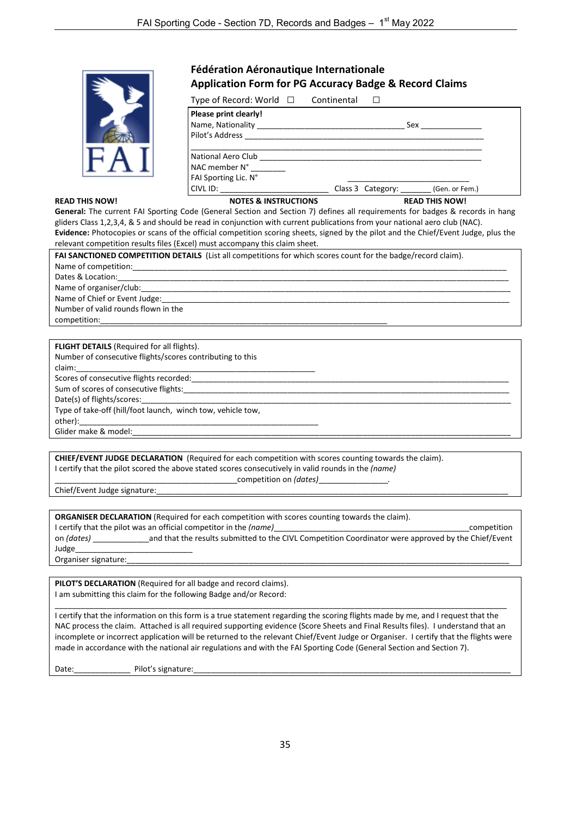

#### **READ THIS NOW!**

#### **Fédération Aéronautique Internationale Application Form for PG Accuracy Badge & Record Claims**

Type of Record: World □ Continental □

| Please print clearly!<br>Name, Nationality and the state of the state of the state of the state of the state of the state of the state o<br>Pilot's Address | Sex                              |
|-------------------------------------------------------------------------------------------------------------------------------------------------------------|----------------------------------|
| National Aero Club<br>NAC member N°<br>FAI Sporting Lic. N°                                                                                                 |                                  |
| CIVL ID:                                                                                                                                                    | Class 3 Category: (Gen. or Fem.) |
| <b>NOTES &amp; INSTRUCTIONS</b>                                                                                                                             | <b>READ THIS NOW!</b>            |

**General:** The current FAI Sporting Code (General Section and Section 7) defines all requirements for badges & records in hang gliders Class 1,2,3,4, & 5 and should be read in conjunction with current publications from your national aero club (NAC). **Evidence:** Photocopies or scans of the official competition scoring sheets, signed by the pilot and the Chief/Event Judge, plus the relevant competition results files (Excel) must accompany this claim sheet.

| <b>FAI SANCTIONED COMPETITION DETAILS</b> (List all competitions for which scores count for the badge/record claim). |  |  |  |  |
|----------------------------------------------------------------------------------------------------------------------|--|--|--|--|
|                                                                                                                      |  |  |  |  |
|                                                                                                                      |  |  |  |  |
|                                                                                                                      |  |  |  |  |
| Name of Chief or Event Judge: Manual Allen Manual Allen Manual Allen Manual Allen                                    |  |  |  |  |
| Number of valid rounds flown in the                                                                                  |  |  |  |  |
| competition:                                                                                                         |  |  |  |  |

| <b>FLIGHT DETAILS</b> (Required for all flights).           |
|-------------------------------------------------------------|
| Number of consecutive flights/scores contributing to this   |
| claim:                                                      |
| Scores of consecutive flights recorded:                     |
| Sum of scores of consecutive flights:                       |
| Date(s) of flights/scores:                                  |
| Type of take-off (hill/foot launch, winch tow, vehicle tow, |
|                                                             |
| Glider make & model:                                        |
|                                                             |

**CHIEF/EVENT JUDGE DECLARATION** (Required for each competition with scores counting towards the claim). I certify that the pilot scored the above stated scores consecutively in valid rounds in the *(name)*

Chief/Event Judge signature:

|  | <b>ORGANISER DECLARATION</b> (Required for each competition with scores counting towards the claim). |  |  |  |  |
|--|------------------------------------------------------------------------------------------------------|--|--|--|--|
|--|------------------------------------------------------------------------------------------------------|--|--|--|--|

I certify that the pilot was an official competitor in the *(name)*\_\_\_\_\_\_\_\_\_\_\_\_\_\_\_\_\_\_\_\_\_\_\_\_\_\_\_\_\_\_\_\_\_\_\_\_\_\_\_\_\_\_\_\_\_competition on *(dates)* \_\_\_\_\_\_\_\_\_\_\_\_\_and that the results submitted to the CIVL Competition Coordinator were approved by the Chief/Event Judge\_\_\_\_\_\_\_\_\_\_\_\_\_\_\_\_\_\_\_\_\_\_\_\_\_\_\_

\_\_\_\_\_\_\_\_\_\_\_\_\_\_\_\_\_\_\_\_\_\_\_\_\_\_\_\_\_\_\_\_\_\_\_\_\_\_\_\_\_\_competition on *(dates)*\_\_\_\_\_\_\_\_\_\_\_\_\_\_\_\_*.*

Organiser signature:

**PILOT'S DECLARATION** (Required for all badge and record claims). I am submitting this claim for the following Badge and/or Record:

\_\_\_\_\_\_\_\_\_\_\_\_\_\_\_\_\_\_\_\_\_\_\_\_\_\_\_\_\_\_\_\_\_\_\_\_\_\_\_\_\_\_\_\_\_\_\_\_\_\_\_\_\_\_\_\_\_\_\_\_\_\_\_\_\_\_\_\_\_\_\_\_\_\_\_\_\_\_\_\_\_\_\_\_\_\_\_\_\_\_\_\_\_\_\_\_\_\_\_\_\_\_\_\_ I certify that the information on this form is a true statement regarding the scoring flights made by me, and I request that the NAC process the claim. Attached is all required supporting evidence (Score Sheets and Final Results files). I understand that an incomplete or incorrect application will be returned to the relevant Chief/Event Judge or Organiser. I certify that the flights were made in accordance with the national air regulations and with the FAI Sporting Code (General Section and Section 7).

Date:\_\_\_\_\_\_\_\_\_\_\_\_\_ Pilot's signature:\_\_\_\_\_\_\_\_\_\_\_\_\_\_\_\_\_\_\_\_\_\_\_\_\_\_\_\_\_\_\_\_\_\_\_\_\_\_\_\_\_\_\_\_\_\_\_\_\_\_\_\_\_\_\_\_\_\_\_\_\_\_\_\_\_\_\_\_\_\_\_\_\_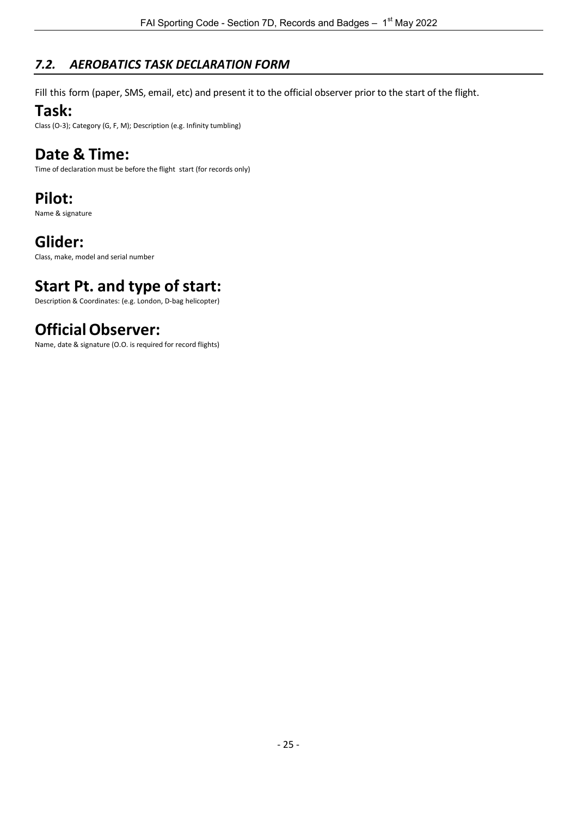# <span id="page-35-0"></span>*7.2. AEROBATICS TASK DECLARATION FORM*

Fill this form (paper, SMS, email, etc) and present it to the official observer prior to the start of the flight.

# **Task:**

Class (O-3); Category (G, F, M); Description (e.g. Infinity tumbling)

# **Date & Time:**

Time of declaration must be before the flight start (for records only)

# **Pilot:**

Name & signature

# **Glider:**

Class, make, model and serial number

# **Start Pt. and type of start:**

Description & Coordinates: (e.g. London, D-bag helicopter)

# **OfficialObserver:**

Name, date & signature (O.O. is required for record flights)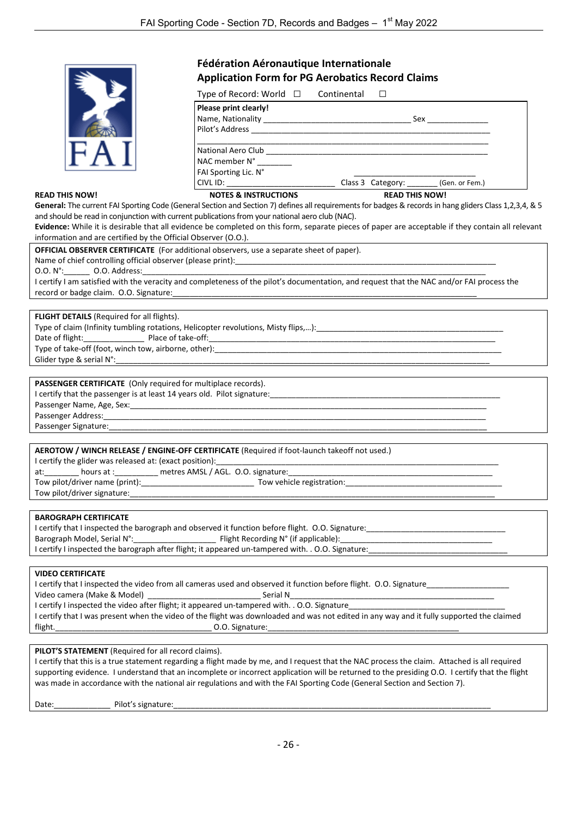|                                                                       | Fédération Aéronautique Internationale                                                                                                                  |  |  |  |  |  |  |
|-----------------------------------------------------------------------|---------------------------------------------------------------------------------------------------------------------------------------------------------|--|--|--|--|--|--|
|                                                                       | <b>Application Form for PG Aerobatics Record Claims</b>                                                                                                 |  |  |  |  |  |  |
|                                                                       | Type of Record: World $\Box$ Continental $\Box$                                                                                                         |  |  |  |  |  |  |
|                                                                       | Please print clearly!                                                                                                                                   |  |  |  |  |  |  |
|                                                                       |                                                                                                                                                         |  |  |  |  |  |  |
|                                                                       |                                                                                                                                                         |  |  |  |  |  |  |
|                                                                       |                                                                                                                                                         |  |  |  |  |  |  |
|                                                                       | NAC member N° _______<br>FAI Sporting Lic. N°                                                                                                           |  |  |  |  |  |  |
|                                                                       | CIVL ID: __________________________________Class 3 Category: ________ (Gen. or Fem.)                                                                    |  |  |  |  |  |  |
| <b>READ THIS NOW!</b>                                                 | <b>NOTES &amp; INSTRUCTIONS</b><br><b>READ THIS NOW!</b>                                                                                                |  |  |  |  |  |  |
|                                                                       | General: The current FAI Sporting Code (General Section and Section 7) defines all requirements for badges & records in hang gliders Class 1,2,3,4, & 5 |  |  |  |  |  |  |
|                                                                       | and should be read in conjunction with current publications from your national aero club (NAC).                                                         |  |  |  |  |  |  |
|                                                                       | Evidence: While it is desirable that all evidence be completed on this form, separate pieces of paper are acceptable if they contain all relevant       |  |  |  |  |  |  |
| information and are certified by the Official Observer (O.O.).        |                                                                                                                                                         |  |  |  |  |  |  |
|                                                                       | OFFICIAL OBSERVER CERTIFICATE (For additional observers, use a separate sheet of paper).                                                                |  |  |  |  |  |  |
|                                                                       |                                                                                                                                                         |  |  |  |  |  |  |
| 0.0. N°: 0.0. Address:                                                | I certify I am satisfied with the veracity and completeness of the pilot's documentation, and request that the NAC and/or FAI process the               |  |  |  |  |  |  |
|                                                                       |                                                                                                                                                         |  |  |  |  |  |  |
|                                                                       |                                                                                                                                                         |  |  |  |  |  |  |
| <b>FLIGHT DETAILS</b> (Required for all flights).                     |                                                                                                                                                         |  |  |  |  |  |  |
|                                                                       |                                                                                                                                                         |  |  |  |  |  |  |
|                                                                       |                                                                                                                                                         |  |  |  |  |  |  |
|                                                                       |                                                                                                                                                         |  |  |  |  |  |  |
| Glider type & serial N°:                                              |                                                                                                                                                         |  |  |  |  |  |  |
|                                                                       |                                                                                                                                                         |  |  |  |  |  |  |
| PASSENGER CERTIFICATE (Only required for multiplace records).         |                                                                                                                                                         |  |  |  |  |  |  |
|                                                                       |                                                                                                                                                         |  |  |  |  |  |  |
|                                                                       |                                                                                                                                                         |  |  |  |  |  |  |
|                                                                       |                                                                                                                                                         |  |  |  |  |  |  |
|                                                                       |                                                                                                                                                         |  |  |  |  |  |  |
|                                                                       | AEROTOW / WINCH RELEASE / ENGINE-OFF CERTIFICATE (Required if foot-launch takeoff not used.)                                                            |  |  |  |  |  |  |
| I certify the glider was released at: (exact position): _____________ |                                                                                                                                                         |  |  |  |  |  |  |
| at: hours at : _______ metres AMSL / AGL. 0.0. signature:             |                                                                                                                                                         |  |  |  |  |  |  |
|                                                                       |                                                                                                                                                         |  |  |  |  |  |  |
| Tow pilot/driver signature:                                           |                                                                                                                                                         |  |  |  |  |  |  |
|                                                                       |                                                                                                                                                         |  |  |  |  |  |  |
| <b>BAROGRAPH CERTIFICATE</b>                                          |                                                                                                                                                         |  |  |  |  |  |  |
|                                                                       |                                                                                                                                                         |  |  |  |  |  |  |
|                                                                       |                                                                                                                                                         |  |  |  |  |  |  |
|                                                                       |                                                                                                                                                         |  |  |  |  |  |  |
|                                                                       |                                                                                                                                                         |  |  |  |  |  |  |
| <b>VIDEO CERTIFICATE</b>                                              |                                                                                                                                                         |  |  |  |  |  |  |
| Video camera (Make & Model)                                           | I certify that I inspected the video from all cameras used and observed it function before flight. O.O. Signature<br>Serial N                           |  |  |  |  |  |  |
|                                                                       | I certify I inspected the video after flight; it appeared un-tampered with. . O.O. Signature                                                            |  |  |  |  |  |  |
|                                                                       | I certify that I was present when the video of the flight was downloaded and was not edited in any way and it fully supported the claimed               |  |  |  |  |  |  |
| flight.                                                               |                                                                                                                                                         |  |  |  |  |  |  |
|                                                                       |                                                                                                                                                         |  |  |  |  |  |  |
| PILOT'S STATEMENT (Required for all record claims).                   |                                                                                                                                                         |  |  |  |  |  |  |
|                                                                       | I certify that this is a true statement regarding a flight made by me, and I request that the NAC process the claim. Attached is all required           |  |  |  |  |  |  |

supporting evidence. I understand that an incomplete or incorrect application will be returned to the presiding O.O. I certify that the flight was made in accordance with the national air regulations and with the FAI Sporting Code (General Section and Section 7).

Date:\_\_\_\_\_\_\_\_\_\_\_\_\_ Pilot's signature:\_\_\_\_\_\_\_\_\_\_\_\_\_\_\_\_\_\_\_\_\_\_\_\_\_\_\_\_\_\_\_\_\_\_\_\_\_\_\_\_\_\_\_\_\_\_\_\_\_\_\_\_\_\_\_\_\_\_\_\_\_\_\_\_\_\_\_\_\_\_\_\_\_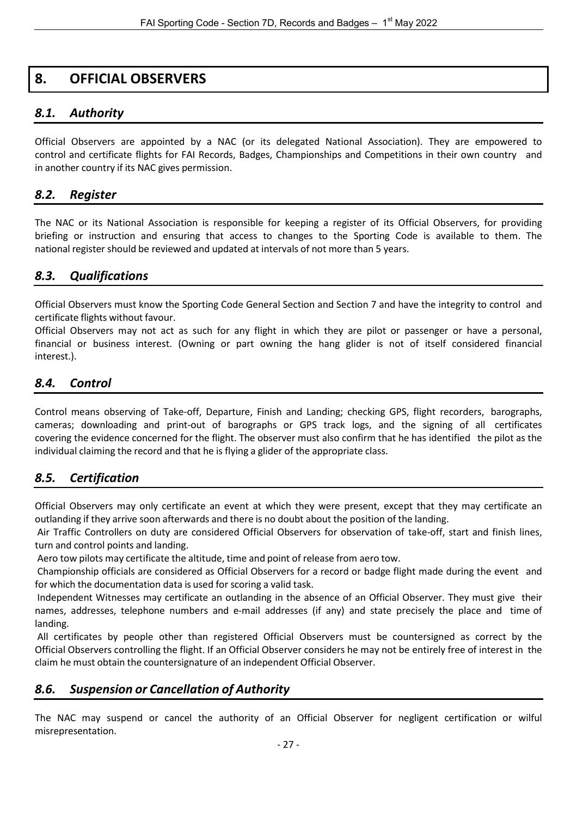# <span id="page-37-0"></span>**8. OFFICIAL OBSERVERS**

# <span id="page-37-1"></span>*8.1. Authority*

Official Observers are appointed by a NAC (or its delegated National Association). They are empowered to control and certificate flights for FAI Records, Badges, Championships and Competitions in their own country and in another country if its NAC gives permission.

### <span id="page-37-2"></span>*8.2. Register*

The NAC or its National Association is responsible for keeping a register of its Official Observers, for providing briefing or instruction and ensuring that access to changes to the Sporting Code is available to them. The national register should be reviewed and updated at intervals of not more than 5 years.

### <span id="page-37-3"></span>*8.3. Qualifications*

Official Observers must know the Sporting Code General Section and Section 7 and have the integrity to control and certificate flights without favour.

Official Observers may not act as such for any flight in which they are pilot or passenger or have a personal, financial or business interest. (Owning or part owning the hang glider is not of itself considered financial interest.).

# <span id="page-37-4"></span>*8.4. Control*

Control means observing of Take-off, Departure, Finish and Landing; checking GPS, flight recorders, barographs, cameras; downloading and print-out of barographs or GPS track logs, and the signing of all certificates covering the evidence concerned for the flight. The observer must also confirm that he has identified the pilot as the individual claiming the record and that he is flying a glider of the appropriate class.

# <span id="page-37-5"></span>*8.5. Certification*

Official Observers may only certificate an event at which they were present, except that they may certificate an outlanding if they arrive soon afterwards and there is no doubt about the position of the landing.

Air Traffic Controllers on duty are considered Official Observers for observation of take-off, start and finish lines, turn and control points and landing.

Aero tow pilots may certificate the altitude, time and point of release from aero tow.

Championship officials are considered as Official Observers for a record or badge flight made during the event and for which the documentation data is used for scoring a valid task.

Independent Witnesses may certificate an outlanding in the absence of an Official Observer. They must give their names, addresses, telephone numbers and e-mail addresses (if any) and state precisely the place and time of landing.

All certificates by people other than registered Official Observers must be countersigned as correct by the Official Observers controlling the flight. If an Official Observer considers he may not be entirely free of interest in the claim he must obtain the countersignature of an independent Official Observer.

# <span id="page-37-6"></span>*8.6. Suspension or Cancellation of Authority*

The NAC may suspend or cancel the authority of an Official Observer for negligent certification or wilful misrepresentation.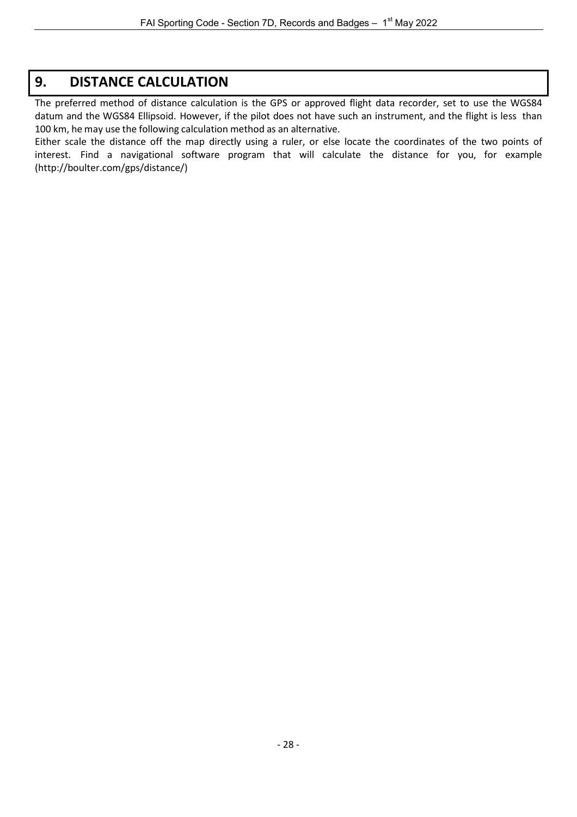# <span id="page-38-0"></span>**9. DISTANCE CALCULATION**

The preferred method of distance calculation is the GPS or approved flight data recorder, set to use the WGS84 datum and the WGS84 Ellipsoid. However, if the pilot does not have such an instrument, and the flight is less than 100 km, he may use the following calculation method as an alternative.

Either scale the distance off the map directly using a ruler, or else locate the coordinates of the two points of interest. Find a navigational software program that will calculate the distance for you, for example [\(http://boulter.com/gps/distance/\)](http://boulter.com/gps/distance/)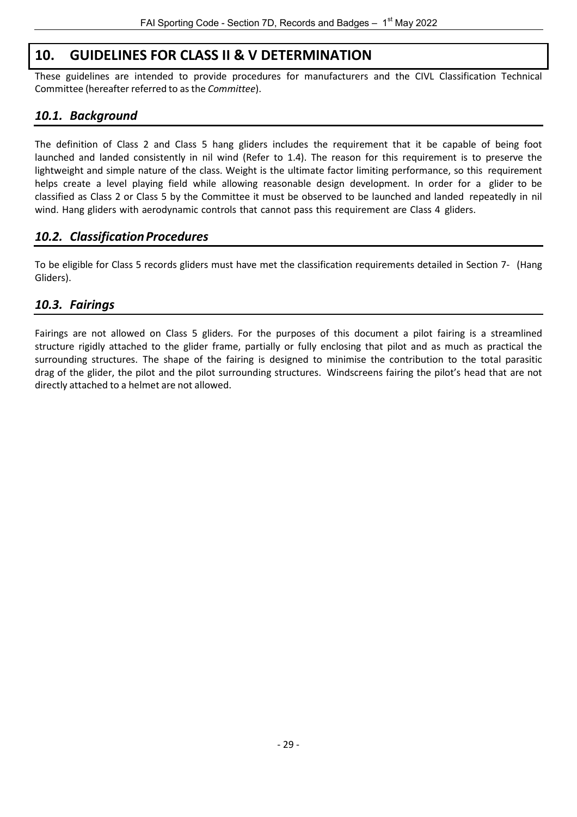# **10. GUIDELINES FOR CLASS II & V DETERMINATION**

<span id="page-39-0"></span>These guidelines are intended to provide procedures for manufacturers and the CIVL Classification Technical Committee (hereafter referred to as the *Committee*).

# <span id="page-39-1"></span>*10.1. Background*

The definition of Class 2 and Class 5 hang gliders includes the requirement that it be capable of being foot launched and landed consistently in nil wind (Refer to 1.4). The reason for this requirement is to preserve the lightweight and simple nature of the class. Weight is the ultimate factor limiting performance, so this requirement helps create a level playing field while allowing reasonable design development. In order for a glider to be classified as Class 2 or Class 5 by the Committee it must be observed to be launched and landed repeatedly in nil wind. Hang gliders with aerodynamic controls that cannot pass this requirement are Class 4 gliders.

# <span id="page-39-2"></span>*10.2. ClassificationProcedures*

To be eligible for Class 5 records gliders must have met the classification requirements detailed in Section 7- (Hang Gliders).

# <span id="page-39-3"></span>*10.3. Fairings*

Fairings are not allowed on Class 5 gliders. For the purposes of this document a pilot fairing is a streamlined structure rigidly attached to the glider frame, partially or fully enclosing that pilot and as much as practical the surrounding structures. The shape of the fairing is designed to minimise the contribution to the total parasitic drag of the glider, the pilot and the pilot surrounding structures. Windscreens fairing the pilot's head that are not directly attached to a helmet are not allowed.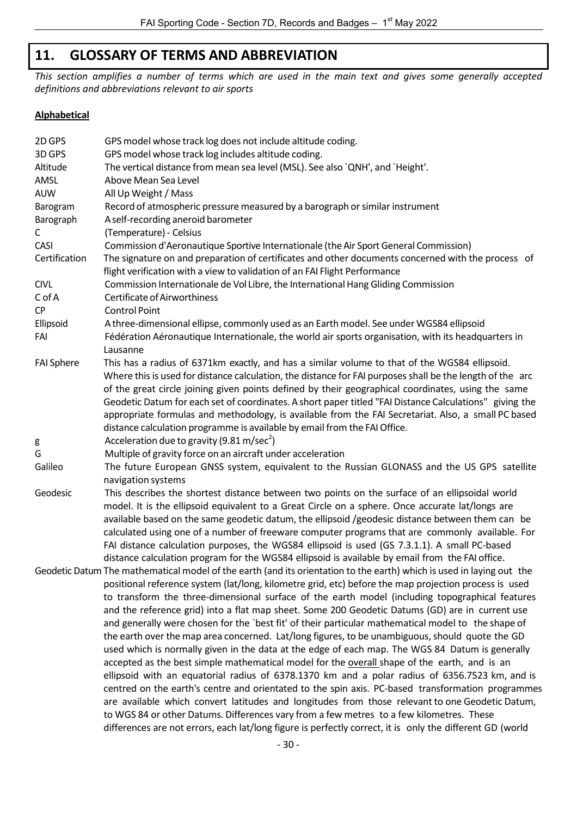# **11. GLOSSARY OF TERMS AND ABBREVIATION**

<span id="page-40-0"></span>*This section amplifies a number of terms which are used in the main text and gives some generally accepted definitions and abbreviations relevant to air sports*

#### **Alphabetical**

| 2D GPS<br>3D GPS  | GPS model whose track log does not include altitude coding.                                                                                                                                                                                                                                                                                                                                                                                                                                                                                                                                                                                                                                                                                                                                                                                                                                                                                                                                                                                                                                                                                                                                                                                                                                                                                                          |
|-------------------|----------------------------------------------------------------------------------------------------------------------------------------------------------------------------------------------------------------------------------------------------------------------------------------------------------------------------------------------------------------------------------------------------------------------------------------------------------------------------------------------------------------------------------------------------------------------------------------------------------------------------------------------------------------------------------------------------------------------------------------------------------------------------------------------------------------------------------------------------------------------------------------------------------------------------------------------------------------------------------------------------------------------------------------------------------------------------------------------------------------------------------------------------------------------------------------------------------------------------------------------------------------------------------------------------------------------------------------------------------------------|
| Altitude          | GPS model whose track log includes altitude coding.<br>The vertical distance from mean sea level (MSL). See also `QNH', and `Height'.                                                                                                                                                                                                                                                                                                                                                                                                                                                                                                                                                                                                                                                                                                                                                                                                                                                                                                                                                                                                                                                                                                                                                                                                                                |
| AMSL              | Above Mean Sea Level                                                                                                                                                                                                                                                                                                                                                                                                                                                                                                                                                                                                                                                                                                                                                                                                                                                                                                                                                                                                                                                                                                                                                                                                                                                                                                                                                 |
| <b>AUW</b>        | All Up Weight / Mass                                                                                                                                                                                                                                                                                                                                                                                                                                                                                                                                                                                                                                                                                                                                                                                                                                                                                                                                                                                                                                                                                                                                                                                                                                                                                                                                                 |
|                   |                                                                                                                                                                                                                                                                                                                                                                                                                                                                                                                                                                                                                                                                                                                                                                                                                                                                                                                                                                                                                                                                                                                                                                                                                                                                                                                                                                      |
| Barogram          | Record of atmospheric pressure measured by a barograph or similar instrument                                                                                                                                                                                                                                                                                                                                                                                                                                                                                                                                                                                                                                                                                                                                                                                                                                                                                                                                                                                                                                                                                                                                                                                                                                                                                         |
| Barograph<br>С    | A self-recording aneroid barometer<br>(Temperature) - Celsius                                                                                                                                                                                                                                                                                                                                                                                                                                                                                                                                                                                                                                                                                                                                                                                                                                                                                                                                                                                                                                                                                                                                                                                                                                                                                                        |
| CASI              |                                                                                                                                                                                                                                                                                                                                                                                                                                                                                                                                                                                                                                                                                                                                                                                                                                                                                                                                                                                                                                                                                                                                                                                                                                                                                                                                                                      |
| Certification     | Commission d'Aeronautique Sportive Internationale (the Air Sport General Commission)<br>The signature on and preparation of certificates and other documents concerned with the process of<br>flight verification with a view to validation of an FAI Flight Performance                                                                                                                                                                                                                                                                                                                                                                                                                                                                                                                                                                                                                                                                                                                                                                                                                                                                                                                                                                                                                                                                                             |
| <b>CIVL</b>       | Commission Internationale de Vol Libre, the International Hang Gliding Commission                                                                                                                                                                                                                                                                                                                                                                                                                                                                                                                                                                                                                                                                                                                                                                                                                                                                                                                                                                                                                                                                                                                                                                                                                                                                                    |
| C of A            | Certificate of Airworthiness                                                                                                                                                                                                                                                                                                                                                                                                                                                                                                                                                                                                                                                                                                                                                                                                                                                                                                                                                                                                                                                                                                                                                                                                                                                                                                                                         |
| CP                | <b>Control Point</b>                                                                                                                                                                                                                                                                                                                                                                                                                                                                                                                                                                                                                                                                                                                                                                                                                                                                                                                                                                                                                                                                                                                                                                                                                                                                                                                                                 |
| Ellipsoid<br>FAI  | A three-dimensional ellipse, commonly used as an Earth model. See under WGS84 ellipsoid<br>Fédération Aéronautique Internationale, the world air sports organisation, with its headquarters in<br>Lausanne                                                                                                                                                                                                                                                                                                                                                                                                                                                                                                                                                                                                                                                                                                                                                                                                                                                                                                                                                                                                                                                                                                                                                           |
| <b>FAI Sphere</b> | This has a radius of 6371km exactly, and has a similar volume to that of the WGS84 ellipsoid.<br>Where this is used for distance calculation, the distance for FAI purposes shall be the length of the arc<br>of the great circle joining given points defined by their geographical coordinates, using the same<br>Geodetic Datum for each set of coordinates. A short paper titled "FAI Distance Calculations" giving the<br>appropriate formulas and methodology, is available from the FAI Secretariat. Also, a small PC based<br>distance calculation programme is available by email from the FAI Office.                                                                                                                                                                                                                                                                                                                                                                                                                                                                                                                                                                                                                                                                                                                                                      |
| g                 | Acceleration due to gravity (9.81 m/sec <sup>2</sup> )                                                                                                                                                                                                                                                                                                                                                                                                                                                                                                                                                                                                                                                                                                                                                                                                                                                                                                                                                                                                                                                                                                                                                                                                                                                                                                               |
| G                 | Multiple of gravity force on an aircraft under acceleration                                                                                                                                                                                                                                                                                                                                                                                                                                                                                                                                                                                                                                                                                                                                                                                                                                                                                                                                                                                                                                                                                                                                                                                                                                                                                                          |
| Galileo           | The future European GNSS system, equivalent to the Russian GLONASS and the US GPS satellite<br>navigation systems                                                                                                                                                                                                                                                                                                                                                                                                                                                                                                                                                                                                                                                                                                                                                                                                                                                                                                                                                                                                                                                                                                                                                                                                                                                    |
| Geodesic          | This describes the shortest distance between two points on the surface of an ellipsoidal world<br>model. It is the ellipsoid equivalent to a Great Circle on a sphere. Once accurate lat/longs are<br>available based on the same geodetic datum, the ellipsoid /geodesic distance between them can be<br>calculated using one of a number of freeware computer programs that are commonly available. For<br>FAI distance calculation purposes, the WGS84 ellipsoid is used (GS 7.3.1.1). A small PC-based<br>distance calculation program for the WGS84 ellipsoid is available by email from the FAI office.                                                                                                                                                                                                                                                                                                                                                                                                                                                                                                                                                                                                                                                                                                                                                        |
|                   | Geodetic Datum The mathematical model of the earth (and its orientation to the earth) which is used in laying out the<br>positional reference system (lat/long, kilometre grid, etc) before the map projection process is used<br>to transform the three-dimensional surface of the earth model (including topographical features<br>and the reference grid) into a flat map sheet. Some 200 Geodetic Datums (GD) are in current use<br>and generally were chosen for the `best fit' of their particular mathematical model to the shape of<br>the earth over the map area concerned. Lat/long figures, to be unambiguous, should quote the GD<br>used which is normally given in the data at the edge of each map. The WGS 84 Datum is generally<br>accepted as the best simple mathematical model for the overall shape of the earth, and is an<br>ellipsoid with an equatorial radius of 6378.1370 km and a polar radius of 6356.7523 km, and is<br>centred on the earth's centre and orientated to the spin axis. PC-based transformation programmes<br>are available which convert latitudes and longitudes from those relevant to one Geodetic Datum,<br>to WGS 84 or other Datums. Differences vary from a few metres to a few kilometres. These<br>differences are not errors, each lat/long figure is perfectly correct, it is only the different GD (world |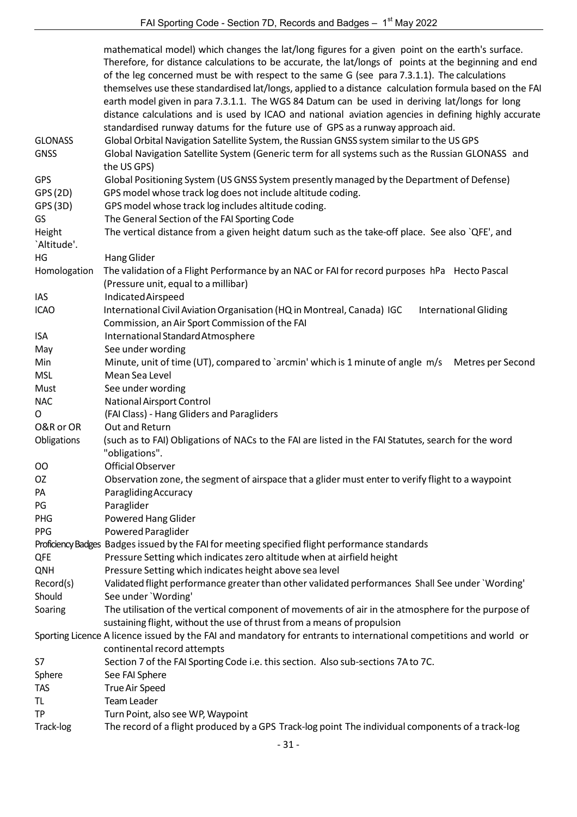|                | mathematical model) which changes the lat/long figures for a given point on the earth's surface.<br>Therefore, for distance calculations to be accurate, the lat/longs of points at the beginning and end<br>of the leg concerned must be with respect to the same G (see para 7.3.1.1). The calculations<br>themselves use these standardised lat/longs, applied to a distance calculation formula based on the FAI<br>earth model given in para 7.3.1.1. The WGS 84 Datum can be used in deriving lat/longs for long |
|----------------|------------------------------------------------------------------------------------------------------------------------------------------------------------------------------------------------------------------------------------------------------------------------------------------------------------------------------------------------------------------------------------------------------------------------------------------------------------------------------------------------------------------------|
|                | distance calculations and is used by ICAO and national aviation agencies in defining highly accurate                                                                                                                                                                                                                                                                                                                                                                                                                   |
| <b>GLONASS</b> | standardised runway datums for the future use of GPS as a runway approach aid.                                                                                                                                                                                                                                                                                                                                                                                                                                         |
| <b>GNSS</b>    | Global Orbital Navigation Satellite System, the Russian GNSS system similar to the US GPS<br>Global Navigation Satellite System (Generic term for all systems such as the Russian GLONASS and<br>the US GPS)                                                                                                                                                                                                                                                                                                           |
| <b>GPS</b>     | Global Positioning System (US GNSS System presently managed by the Department of Defense)                                                                                                                                                                                                                                                                                                                                                                                                                              |
| GPS (2D)       | GPS model whose track log does not include altitude coding.                                                                                                                                                                                                                                                                                                                                                                                                                                                            |
| GPS (3D)       | GPS model whose track log includes altitude coding.                                                                                                                                                                                                                                                                                                                                                                                                                                                                    |
| GS             | The General Section of the FAI Sporting Code                                                                                                                                                                                                                                                                                                                                                                                                                                                                           |
| Height         | The vertical distance from a given height datum such as the take-off place. See also `QFE', and                                                                                                                                                                                                                                                                                                                                                                                                                        |
| 'Altitude'.    |                                                                                                                                                                                                                                                                                                                                                                                                                                                                                                                        |
| HG             | Hang Glider                                                                                                                                                                                                                                                                                                                                                                                                                                                                                                            |
| Homologation   | The validation of a Flight Performance by an NAC or FAI for record purposes hPa Hecto Pascal                                                                                                                                                                                                                                                                                                                                                                                                                           |
|                | (Pressure unit, equal to a millibar)                                                                                                                                                                                                                                                                                                                                                                                                                                                                                   |
| IAS            | Indicated Airspeed                                                                                                                                                                                                                                                                                                                                                                                                                                                                                                     |
| <b>ICAO</b>    | International Civil Aviation Organisation (HQ in Montreal, Canada) IGC<br><b>International Gliding</b>                                                                                                                                                                                                                                                                                                                                                                                                                 |
|                | Commission, an Air Sport Commission of the FAI                                                                                                                                                                                                                                                                                                                                                                                                                                                                         |
| ISA            | International Standard Atmosphere                                                                                                                                                                                                                                                                                                                                                                                                                                                                                      |
| May            | See under wording                                                                                                                                                                                                                                                                                                                                                                                                                                                                                                      |
| Min            | Minute, unit of time (UT), compared to `arcmin' which is 1 minute of angle m/s<br>Metres per Second                                                                                                                                                                                                                                                                                                                                                                                                                    |
| <b>MSL</b>     | Mean Sea Level                                                                                                                                                                                                                                                                                                                                                                                                                                                                                                         |
| Must           | See under wording                                                                                                                                                                                                                                                                                                                                                                                                                                                                                                      |
| <b>NAC</b>     | National Airsport Control                                                                                                                                                                                                                                                                                                                                                                                                                                                                                              |
| 0              | (FAI Class) - Hang Gliders and Paragliders                                                                                                                                                                                                                                                                                                                                                                                                                                                                             |
| O&R or OR      | Out and Return                                                                                                                                                                                                                                                                                                                                                                                                                                                                                                         |
| Obligations    | (such as to FAI) Obligations of NACs to the FAI are listed in the FAI Statutes, search for the word                                                                                                                                                                                                                                                                                                                                                                                                                    |
|                | "obligations".                                                                                                                                                                                                                                                                                                                                                                                                                                                                                                         |
| OO             | Official Observer                                                                                                                                                                                                                                                                                                                                                                                                                                                                                                      |
| OZ             | Observation zone, the segment of airspace that a glider must enter to verify flight to a waypoint                                                                                                                                                                                                                                                                                                                                                                                                                      |
| PA             | Paragliding Accuracy                                                                                                                                                                                                                                                                                                                                                                                                                                                                                                   |
| PG             | Paraglider                                                                                                                                                                                                                                                                                                                                                                                                                                                                                                             |
| <b>PHG</b>     | Powered Hang Glider                                                                                                                                                                                                                                                                                                                                                                                                                                                                                                    |
| PPG            | Powered Paraglider                                                                                                                                                                                                                                                                                                                                                                                                                                                                                                     |
|                | Proficiency Badges Badges issued by the FAI for meeting specified flight performance standards                                                                                                                                                                                                                                                                                                                                                                                                                         |
| QFE            | Pressure Setting which indicates zero altitude when at airfield height                                                                                                                                                                                                                                                                                                                                                                                                                                                 |
| <b>QNH</b>     | Pressure Setting which indicates height above sea level                                                                                                                                                                                                                                                                                                                                                                                                                                                                |
| Record(s)      | Validated flight performance greater than other validated performances Shall See under `Wording'                                                                                                                                                                                                                                                                                                                                                                                                                       |
| Should         | See under 'Wording'                                                                                                                                                                                                                                                                                                                                                                                                                                                                                                    |
| Soaring        | The utilisation of the vertical component of movements of air in the atmosphere for the purpose of                                                                                                                                                                                                                                                                                                                                                                                                                     |
|                | sustaining flight, without the use of thrust from a means of propulsion                                                                                                                                                                                                                                                                                                                                                                                                                                                |
|                | Sporting Licence A licence issued by the FAI and mandatory for entrants to international competitions and world or                                                                                                                                                                                                                                                                                                                                                                                                     |
|                | continental record attempts                                                                                                                                                                                                                                                                                                                                                                                                                                                                                            |
| S7             | Section 7 of the FAI Sporting Code i.e. this section. Also sub-sections 7A to 7C.                                                                                                                                                                                                                                                                                                                                                                                                                                      |
| Sphere         | See FAI Sphere                                                                                                                                                                                                                                                                                                                                                                                                                                                                                                         |
| <b>TAS</b>     | True Air Speed                                                                                                                                                                                                                                                                                                                                                                                                                                                                                                         |
| TL             | <b>Team Leader</b>                                                                                                                                                                                                                                                                                                                                                                                                                                                                                                     |
| TP             | Turn Point, also see WP, Waypoint                                                                                                                                                                                                                                                                                                                                                                                                                                                                                      |
| Track-log      | The record of a flight produced by a GPS Track-log point The individual components of a track-log                                                                                                                                                                                                                                                                                                                                                                                                                      |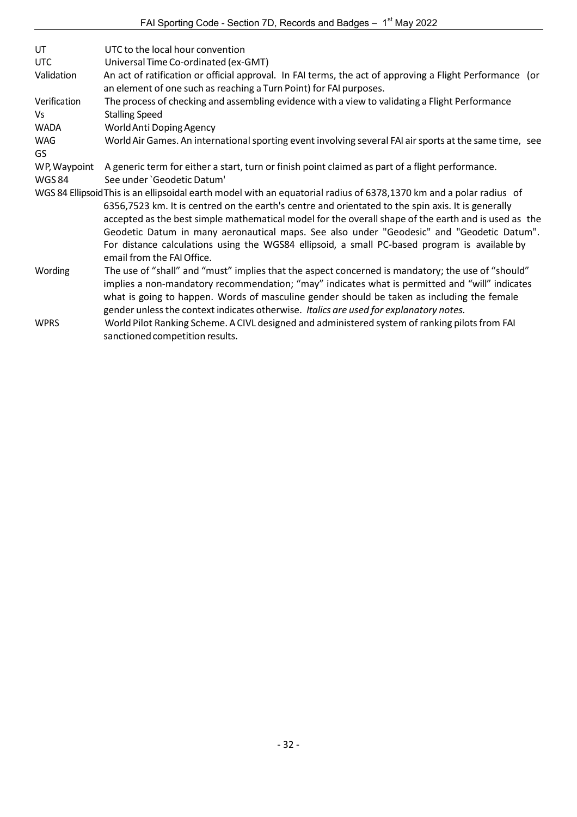| UT           | UTC to the local hour convention                                                                                                                                                                                                                                                                                                                                                                                               |
|--------------|--------------------------------------------------------------------------------------------------------------------------------------------------------------------------------------------------------------------------------------------------------------------------------------------------------------------------------------------------------------------------------------------------------------------------------|
| <b>UTC</b>   | Universal Time Co-ordinated (ex-GMT)                                                                                                                                                                                                                                                                                                                                                                                           |
| Validation   | An act of ratification or official approval. In FAI terms, the act of approving a Flight Performance (or<br>an element of one such as reaching a Turn Point) for FAI purposes.                                                                                                                                                                                                                                                 |
| Verification | The process of checking and assembling evidence with a view to validating a Flight Performance                                                                                                                                                                                                                                                                                                                                 |
| Vs           | <b>Stalling Speed</b>                                                                                                                                                                                                                                                                                                                                                                                                          |
| WADA         | World Anti Doping Agency                                                                                                                                                                                                                                                                                                                                                                                                       |
| WAG          | World Air Games. An international sporting event involving several FAI air sports at the same time, see                                                                                                                                                                                                                                                                                                                        |
| GS           |                                                                                                                                                                                                                                                                                                                                                                                                                                |
| WP, Waypoint | A generic term for either a start, turn or finish point claimed as part of a flight performance.                                                                                                                                                                                                                                                                                                                               |
| <b>WGS84</b> | See under 'Geodetic Datum'                                                                                                                                                                                                                                                                                                                                                                                                     |
|              | WGS 84 Ellipsoid This is an ellipsoidal earth model with an equatorial radius of 6378,1370 km and a polar radius of<br>6356,7523 km. It is centred on the earth's centre and orientated to the spin axis. It is generally<br>accepted as the best simple mathematical model for the overall shape of the earth and is used as the<br>Geodetic Datum in many aeronautical maps. See also under "Geodesic" and "Geodetic Datum". |
|              | For distance calculations using the WGS84 ellipsoid, a small PC-based program is available by<br>email from the FAI Office.                                                                                                                                                                                                                                                                                                    |
| Wording      | The use of "shall" and "must" implies that the aspect concerned is mandatory; the use of "should"<br>implies a non-mandatory recommendation; "may" indicates what is permitted and "will" indicates<br>what is going to happen. Words of masculine gender should be taken as including the female<br>gender unless the context indicates otherwise. Italics are used for explanatory notes.                                    |
| <b>WPRS</b>  | World Pilot Ranking Scheme. A CIVL designed and administered system of ranking pilots from FAI<br>sanctioned competition results.                                                                                                                                                                                                                                                                                              |